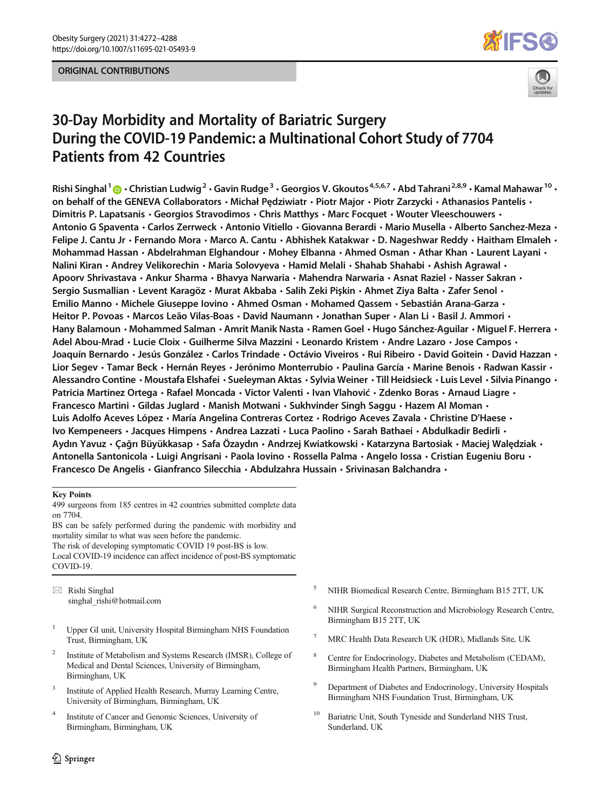## ORIGINAL CONTRIBUTIONS





# 30-Day Morbidity and Mortality of Bariatric Surgery During the COVID-19 Pandemic: a Multinational Cohort Study of 7704 Patients from 42 Countries

Rishi Singhal<sup>1</sup>  $\odot$  • Christian Ludwig<sup>2</sup> • Gavin Rudge<sup>3</sup> • Georgios V. Gkoutos<sup>4,5,6,7</sup> • Abd Tahrani<sup>2,8,9</sup> • Kamal Mahawar<sup>10</sup> • on behalf of the GENEVA Collaborators · Michał Pedziwiatr · Piotr Major · Piotr Zarzycki · Athanasios Pantelis · Dimitris P. Lapatsanis · Georgios Stravodimos · Chris Matthys · Marc Focquet · Wouter Vleeschouwers · Antonio G Spaventa • Carlos Zerrweck • Antonio Vitiello • Giovanna Berardi • Mario Musella • Alberto Sanchez-Meza • Felipe J. Cantu Jr  $\cdot$  Fernando Mora  $\cdot$  Marco A. Cantu  $\cdot$  Abhishek Katakwar  $\cdot$  D. Nageshwar Reddy  $\cdot$  Haitham Elmaleh  $\cdot$ Mohammad Hassan  $\cdot$  Abdelrahman Elghandour  $\cdot$  Mohey Elbanna  $\cdot$  Ahmed Osman  $\cdot$  Athar Khan  $\cdot$  Laurent Layani  $\cdot$ Nalini Kiran • Andrey Velikorechin • Maria Solovyeva • Hamid Melali • Shahab Shahabi • Ashish Agrawal • Apoorv Shrivastava • Ankur Sharma • Bhavya Narwaria • Mahendra Narwaria • Asnat Raziel • Nasser Sakran • Sergio Susmallian • Levent Karagöz • Murat Akbaba • Salih Zeki Pişkin • Ahmet Ziya Balta • Zafer Senol • Emilio Manno • Michele Giuseppe Iovino • Ahmed Osman • Mohamed Qassem • Sebastián Arana-Garza • Heitor P. Povoas • Marcos Leão Vilas-Boas • David Naumann • Jonathan Super • Alan Li • Basil J. Ammori • Hany Balamoun • Mohammed Salman • Amrit Manik Nasta • Ramen Goel • Hugo Sánchez-Aguilar • Miguel F. Herrera • Adel Abou-Mrad • Lucie Cloix • Guilherme Silva Mazzini • Leonardo Kristem • Andre Lazaro • Jose Campos • Joaquín Bernardo · Jesús González · Carlos Trindade · Octávio Viveiros · Rui Ribeiro · David Goitein · David Hazzan · Lior Segev • Tamar Beck • Hernán Reyes • Jerónimo Monterrubio • Paulina García • Marine Benois • Radwan Kassir • Alessandro Contine • Moustafa Elshafei • Sueleyman Aktas • Sylvia Weiner • Till Heidsieck • Luis Level • Silvia Pinango • Patricia Martinez Ortega · Rafael Moncada · Victor Valenti · Ivan Vlahović · Zdenko Boras · Arnaud Liagre · Francesco Martini · Gildas Juglard · Manish Motwani · Sukhvinder Singh Saggu · Hazem Al Moman · Luis Adolfo Aceves López · María Angelina Contreras Cortez · Rodrigo Aceves Zavala · Christine D'Haese · Ivo Kempeneers • Jacques Himpens • Andrea Lazzati • Luca Paolino • Sarah Bathaei • Abdulkadir Bedirli • Aydın Yavuz • Çağrı Büyükkasap • Safa Özaydın • Andrzej Kwiatkowski • Katarzyna Bartosiak • Maciej Walędziak • Antonella Santonicola · Luigi Angrisani · Paola Iovino · Rossella Palma · Angelo Iossa · Cristian Eugeniu Boru · Francesco De Angelis · Gianfranco Silecchia · Abdulzahra Hussain · Srivinasan Balchandra ·

#### Key Points

499 surgeons from 185 centres in 42 countries submitted complete data on 7704.

BS can be safely performed during the pandemic with morbidity and mortality similar to what was seen before the pandemic. The risk of developing symptomatic COVID 19 post-BS is low. Local COVID-19 incidence can affect incidence of post-BS symptomatic COVID-19.

 $\boxtimes$  Rishi Singhal [singhal\\_rishi@hotmail.com](mailto:singhal_rishi@hotmail.com)

- <sup>1</sup> Upper GI unit, University Hospital Birmingham NHS Foundation Trust, Birmingham, UK
- <sup>2</sup> Institute of Metabolism and Systems Research (IMSR), College of Medical and Dental Sciences, University of Birmingham, Birmingham, UK
- <sup>3</sup> Institute of Applied Health Research, Murray Learning Centre, University of Birmingham, Birmingham, UK
- <sup>4</sup> Institute of Cancer and Genomic Sciences, University of Birmingham, Birmingham, UK
- <sup>5</sup> NIHR Biomedical Research Centre, Birmingham B15 2TT, UK
- <sup>6</sup> NIHR Surgical Reconstruction and Microbiology Research Centre, Birmingham B15 2TT, UK
- <sup>7</sup> MRC Health Data Research UK (HDR), Midlands Site, UK
- <sup>8</sup> Centre for Endocrinology, Diabetes and Metabolism (CEDAM), Birmingham Health Partners, Birmingham, UK
- <sup>9</sup> Department of Diabetes and Endocrinology, University Hospitals Birmingham NHS Foundation Trust, Birmingham, UK
- Bariatric Unit, South Tyneside and Sunderland NHS Trust, Sunderland, UK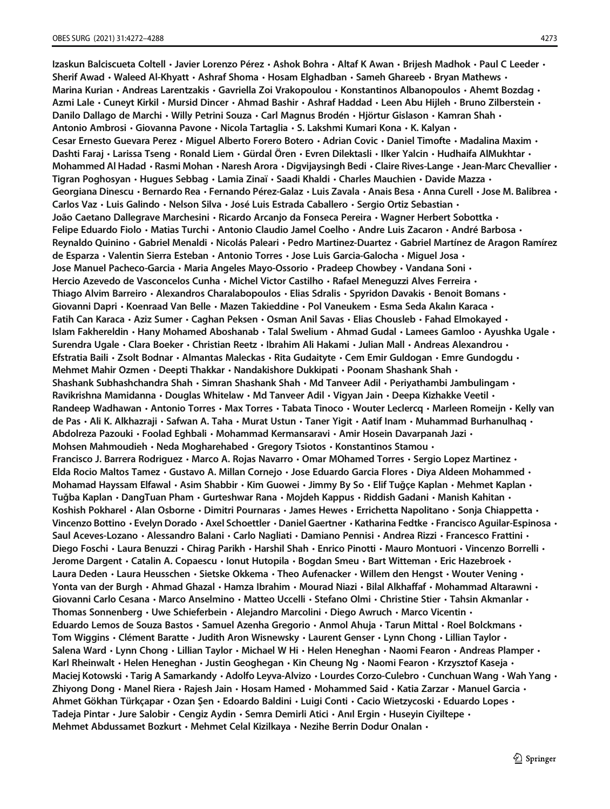Izaskun Balciscueta Coltell • Javier Lorenzo Pérez • Ashok Bohra • Altaf K Awan • Briiesh Madhok • Paul C Leeder • Sherif Awad • Waleed Al-Khyatt • Ashraf Shoma • Hosam Elghadban • Sameh Ghareeb • Bryan Mathews • Marina Kurian • Andreas Larentzakis • Gavriella Zoi Vrakopoulou • Konstantinos Albanopoulos • Ahemt Bozdag • Azmi Lale • Cunevt Kirkil • Mursid Dincer • Ahmad Bashir • Ashraf Haddad • Leen Abu Hiileh • Bruno Zilberstein • Danilo Dallago de Marchi • Willy Petrini Souza • Carl Magnus Brodén • Hjörtur Gislason • Kamran Shah • Antonio Ambrosi · Giovanna Pavone · Nicola Tartaglia · S. Lakshmi Kumari Kona · K. Kalyan · Cesar Ernesto Guevara Perez  $\cdot$  Miguel Alberto Forero Botero  $\cdot$  Adrian Covic  $\cdot$  Daniel Timofte  $\cdot$  Madalina Maxim  $\cdot$ Dashti Faraj • Larissa Tseng • Ronald Liem • Gürdal Ören • Evren Dilektasli • Ilker Yalcin • Hudhaifa AlMukhtar • Mohammed Al Hadad  $\cdot$  Rasmi Mohan  $\cdot$  Naresh Arora  $\cdot$  Digvijaysingh Bedi  $\cdot$  Claire Rives-Lange  $\cdot$  Jean-Marc Chevallier  $\cdot$ Tigran Poghosyan · Hugues Sebbag · Lamia Zinaï · Saadi Khaldi · Charles Mauchien · Davide Mazza · Georgiana Dinescu  $\cdot$  Bernardo Rea  $\cdot$  Fernando Pérez-Galaz  $\cdot$  Luis Zavala  $\cdot$  Anais Besa  $\cdot$  Anna Curell  $\cdot$  Jose M. Balibrea  $\cdot$ Carlos Vaz · Luis Galindo · Nelson Silva · José Luis Estrada Caballero · Sergio Ortiz Sebastian · João Caetano Dallegrave Marchesini  $\cdot$  Ricardo Arcanjo da Fonseca Pereira  $\cdot$  Wagner Herbert Sobottka  $\cdot$ Felipe Eduardo Fiolo · Matias Turchi · Antonio Claudio Jamel Coelho · Andre Luis Zacaron · André Barbosa · Reynaldo Quinino · Gabriel Menaldi · Nicolás Paleari · Pedro Martinez-Duartez · Gabriel Martínez de Aragon Ramírez de Esparza • Valentin Sierra Esteban • Antonio Torres • Jose Luis Garcia-Galocha • Miguel Josa • Jose Manuel Pacheco-Garcia • Maria Angeles Mayo-Ossorio • Pradeep Chowbey • Vandana Soni • Hercio Azevedo de Vasconcelos Cunha · Michel Victor Castilho · Rafael Meneguzzi Alves Ferreira · Thiago Alvim Barreiro  $\cdot$  Alexandros Charalabopoulos  $\cdot$  Elias Sdralis  $\cdot$  Spyridon Davakis  $\cdot$  Benoit Bomans  $\cdot$ Giovanni Dapri • Koenraad Van Belle • Mazen Takieddine • Pol Vaneukem • Esma Seda Akalın Karaca • Fatih Can Karaca • Aziz Sumer • Caghan Peksen • Osman Anil Savas • Elias Chousleb • Fahad Elmokayed • Islam Fakhereldin • Hany Mohamed Aboshanab • Talal Swelium • Ahmad Gudal • Lamees Gamloo • Ayushka Ugale • Surendra Ugale • Clara Boeker • Christian Reetz • Ibrahim Ali Hakami • Julian Mall • Andreas Alexandrou • Efstratia Baili · Zsolt Bodnar · Almantas Maleckas · Rita Gudaityte · Cem Emir Guldogan · Emre Gundogdu · Mehmet Mahir Ozmen  $\cdot$  Deepti Thakkar  $\cdot$  Nandakishore Dukkipati  $\cdot$  Poonam Shashank Shah  $\cdot$ Shashank Subhashchandra Shah  $\cdot$  Simran Shashank Shah  $\cdot$  Md Tanveer Adil  $\cdot$  Periyathambi Jambulingam  $\cdot$ Ravikrishna Mamidanna · Douglas Whitelaw · Md Tanveer Adil · Vigyan Jain · Deepa Kizhakke Veetil · Randeep Wadhawan • Antonio Torres • Max Torres • Tabata Tinoco • Wouter Leclercq • Marleen Romeijn • Kelly van de Pas • Ali K. Alkhazraji • Safwan A. Taha • Murat Ustun • Taner Yigit • Aatif Inam • Muhammad Burhanulhaq • Abdolreza Pazouki · Foolad Eghbali · Mohammad Kermansaravi · Amir Hosein Davarpanah Jazi · Mohsen Mahmoudieh · Neda Mogharehabed · Gregory Tsiotos · Konstantinos Stamou · Francisco J. Barrera Rodriguez · Marco A. Rojas Navarro · Omar MOhamed Torres · Sergio Lopez Martinez · Elda Rocio Maltos Tamez • Gustavo A. Millan Cornejo • Jose Eduardo Garcia Flores • Diya Aldeen Mohammed • Mohamad Hayssam Elfawal  $\cdot$  Asim Shabbir  $\cdot$  Kim Guowei  $\cdot$  Jimmy By So  $\cdot$  Elif Tuğçe Kaplan  $\cdot$  Mehmet Kaplan  $\cdot$ Tuğba Kaplan • DangTuan Pham • Gurteshwar Rana • Mojdeh Kappus • Riddish Gadani • Manish Kahitan • Koshish Pokharel  $\cdot$  Alan Osborne  $\cdot$  Dimitri Pournaras  $\cdot$  James Hewes  $\cdot$  Errichetta Napolitano  $\cdot$  Sonja Chiappetta  $\cdot$ Vincenzo Bottino · Evelyn Dorado · Axel Schoettler · Daniel Gaertner · Katharina Fedtke · Francisco Aguilar-Espinosa · Saul Aceves-Lozano · Alessandro Balani · Carlo Nagliati · Damiano Pennisi · Andrea Rizzi · Francesco Frattini · Diego Foschi • Laura Benuzzi • Chirag Parikh • Harshil Shah • Enrico Pinotti • Mauro Montuori • Vincenzo Borrelli • Jerome Dargent  $\cdot$  Catalin A. Copaescu  $\cdot$  Ionut Hutopila  $\cdot$  Bogdan Smeu  $\cdot$  Bart Witteman  $\cdot$  Eric Hazebroek  $\cdot$ Laura Deden  $\cdot$  Laura Heusschen  $\cdot$  Sietske Okkema  $\cdot$  Theo Aufenacker  $\cdot$  Willem den Hengst  $\cdot$  Wouter Vening  $\cdot$ Yonta van der Burgh • Ahmad Ghazal • Hamza Ibrahim • Mourad Niazi • Bilal Alkhaffaf • Mohammad Altarawni • Giovanni Carlo Cesana • Marco Anselmino • Matteo Uccelli • Stefano Olmi • Christine Stier • Tahsin Akmanlar • Thomas Sonnenberg · Uwe Schieferbein · Alejandro Marcolini · Diego Awruch · Marco Vicentin · Eduardo Lemos de Souza Bastos • Samuel Azenha Gregorio • Anmol Ahuja • Tarun Mittal • Roel Bolckmans • Tom Wiggins • Clément Baratte • Judith Aron Wisnewsky • Laurent Genser • Lynn Chong • Lillian Taylor • Salena Ward  $\cdot$  Lynn Chong  $\cdot$  Lillian Taylor  $\cdot$  Michael W Hi  $\cdot$  Helen Heneghan  $\cdot$  Naomi Fearon  $\cdot$  Andreas Plamper  $\cdot$ Karl Rheinwalt • Helen Heneghan • Justin Geoghegan • Kin Cheung Ng • Naomi Fearon • Krzysztof Kaseja • Maciej Kotowski • Tarig A Samarkandy • Adolfo Leyva-Alvizo • Lourdes Corzo-Culebro • Cunchuan Wang • Wah Yang • Zhiyong Dong • Manel Riera • Rajesh Jain • Hosam Hamed • Mohammed Said • Katia Zarzar • Manuel Garcia • Ahmet Gökhan Türkçapar · Ozan Şen · Edoardo Baldini · Luigi Conti · Cacio Wietzycoski · Eduardo Lopes · Tadeja Pintar  $\cdot$  Jure Salobir  $\cdot$  Cengiz Aydin  $\cdot$  Semra Demirli Atici  $\cdot$  Anıl Ergin  $\cdot$  Huseyin Ciyiltepe  $\cdot$ Mehmet Abdussamet Bozkurt  $\cdot$  Mehmet Celal Kizilkaya  $\cdot$  Nezihe Berrin Dodur Onalan  $\cdot$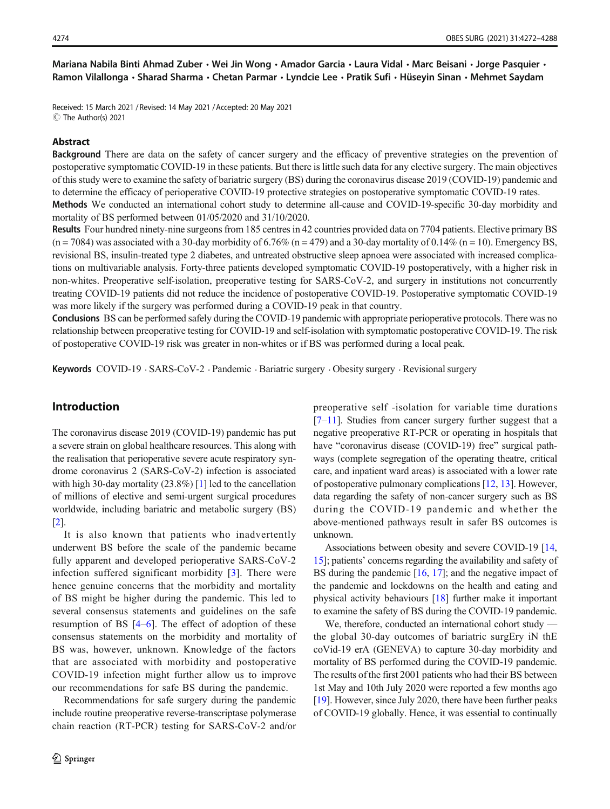Mariana Nabila Binti Ahmad Zuber • Wei Jin Wong • Amador Garcia • Laura Vidal • Marc Beisani • Jorge Pasquier • Ramon Vilallonga · Sharad Sharma · Chetan Parmar · Lyndcie Lee · Pratik Sufi · Hüseyin Sinan · Mehmet Saydam

Received: 15 March 2021 / Revised: 14 May 2021 /Accepted: 20 May 2021  $\circledcirc$  The Author(s) 2021

#### Abstract

Background There are data on the safety of cancer surgery and the efficacy of preventive strategies on the prevention of postoperative symptomatic COVID-19 in these patients. But there is little such data for any elective surgery. The main objectives of this study were to examine the safety of bariatric surgery (BS) during the coronavirus disease 2019 (COVID-19) pandemic and to determine the efficacy of perioperative COVID-19 protective strategies on postoperative symptomatic COVID-19 rates. Methods We conducted an international cohort study to determine all-cause and COVID-19-specific 30-day morbidity and mortality of BS performed between 01/05/2020 and 31/10/2020.

Results Four hundred ninety-nine surgeons from 185 centres in 42 countries provided data on 7704 patients. Elective primary BS  $(n = 7084)$  was associated with a 30-day morbidity of 6.76%  $(n = 479)$  and a 30-day mortality of 0.14%  $(n = 10)$ . Emergency BS, revisional BS, insulin-treated type 2 diabetes, and untreated obstructive sleep apnoea were associated with increased complications on multivariable analysis. Forty-three patients developed symptomatic COVID-19 postoperatively, with a higher risk in non-whites. Preoperative self-isolation, preoperative testing for SARS-CoV-2, and surgery in institutions not concurrently treating COVID-19 patients did not reduce the incidence of postoperative COVID-19. Postoperative symptomatic COVID-19 was more likely if the surgery was performed during a COVID-19 peak in that country.

Conclusions BS can be performed safely during the COVID-19 pandemic with appropriate perioperative protocols. There was no relationship between preoperative testing for COVID-19 and self-isolation with symptomatic postoperative COVID-19. The risk of postoperative COVID-19 risk was greater in non-whites or if BS was performed during a local peak.

Keywords COVID-19 · SARS-CoV-2 · Pandemic · Bariatric surgery · Obesity surgery · Revisional surgery

# Introduction

The coronavirus disease 2019 (COVID-19) pandemic has put a severe strain on global healthcare resources. This along with the realisation that perioperative severe acute respiratory syndrome coronavirus 2 (SARS-CoV-2) infection is associated with high 30-day mortality (23.8%) [\[1\]](#page-15-0) led to the cancellation of millions of elective and semi-urgent surgical procedures worldwide, including bariatric and metabolic surgery (BS) [\[2](#page-15-0)].

It is also known that patients who inadvertently underwent BS before the scale of the pandemic became fully apparent and developed perioperative SARS-CoV-2 infection suffered significant morbidity [[3\]](#page-15-0). There were hence genuine concerns that the morbidity and mortality of BS might be higher during the pandemic. This led to several consensus statements and guidelines on the safe resumption of BS [[4](#page-15-0)–[6\]](#page-15-0). The effect of adoption of these consensus statements on the morbidity and mortality of BS was, however, unknown. Knowledge of the factors that are associated with morbidity and postoperative COVID-19 infection might further allow us to improve our recommendations for safe BS during the pandemic.

Recommendations for safe surgery during the pandemic include routine preoperative reverse-transcriptase polymerase chain reaction (RT-PCR) testing for SARS-CoV-2 and/or preoperative self -isolation for variable time durations  $[7–11]$  $[7–11]$  $[7–11]$  $[7–11]$ . Studies from cancer surgery further suggest that a negative preoperative RT-PCR or operating in hospitals that have "coronavirus disease (COVID-19) free" surgical pathways (complete segregation of the operating theatre, critical care, and inpatient ward areas) is associated with a lower rate of postoperative pulmonary complications [\[12](#page-15-0), [13](#page-15-0)]. However, data regarding the safety of non-cancer surgery such as BS during the COVID-19 pandemic and whether the above-mentioned pathways result in safer BS outcomes is unknown.

Associations between obesity and severe COVID-19 [\[14,](#page-15-0) [15\]](#page-15-0); patients' concerns regarding the availability and safety of BS during the pandemic [\[16,](#page-15-0) [17\]](#page-15-0); and the negative impact of the pandemic and lockdowns on the health and eating and physical activity behaviours [\[18](#page-15-0)] further make it important to examine the safety of BS during the COVID-19 pandemic.

We, therefore, conducted an international cohort study the global 30-day outcomes of bariatric surgEry iN thE coVid-19 erA (GENEVA) to capture 30-day morbidity and mortality of BS performed during the COVID-19 pandemic. The results of the first 2001 patients who had their BS between 1st May and 10th July 2020 were reported a few months ago [\[19](#page-15-0)]. However, since July 2020, there have been further peaks of COVID-19 globally. Hence, it was essential to continually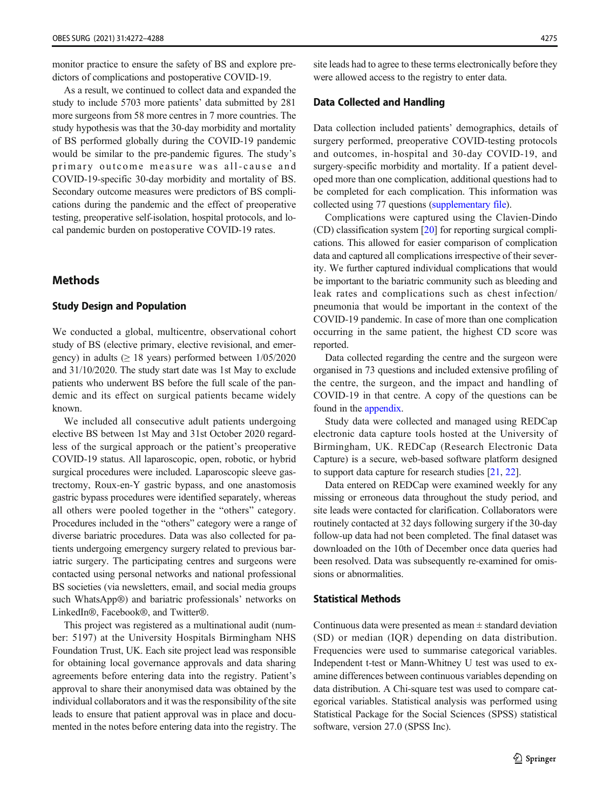monitor practice to ensure the safety of BS and explore predictors of complications and postoperative COVID-19.

As a result, we continued to collect data and expanded the study to include 5703 more patients' data submitted by 281 more surgeons from 58 more centres in 7 more countries. The study hypothesis was that the 30-day morbidity and mortality of BS performed globally during the COVID-19 pandemic would be similar to the pre-pandemic figures. The study's primary outcome measure was all-cause and COVID-19-specific 30-day morbidity and mortality of BS. Secondary outcome measures were predictors of BS complications during the pandemic and the effect of preoperative testing, preoperative self-isolation, hospital protocols, and local pandemic burden on postoperative COVID-19 rates.

# Methods

### Study Design and Population

We conducted a global, multicentre, observational cohort study of BS (elective primary, elective revisional, and emergency) in adults ( $\geq$  18 years) performed between 1/05/2020 and 31/10/2020. The study start date was 1st May to exclude patients who underwent BS before the full scale of the pandemic and its effect on surgical patients became widely known.

We included all consecutive adult patients undergoing elective BS between 1st May and 31st October 2020 regardless of the surgical approach or the patient's preoperative COVID-19 status. All laparoscopic, open, robotic, or hybrid surgical procedures were included. Laparoscopic sleeve gastrectomy, Roux-en-Y gastric bypass, and one anastomosis gastric bypass procedures were identified separately, whereas all others were pooled together in the "others" category. Procedures included in the "others" category were a range of diverse bariatric procedures. Data was also collected for patients undergoing emergency surgery related to previous bariatric surgery. The participating centres and surgeons were contacted using personal networks and national professional BS societies (via newsletters, email, and social media groups such WhatsApp®) and bariatric professionals' networks on LinkedIn®, Facebook®, and Twitter®.

This project was registered as a multinational audit (number: 5197) at the University Hospitals Birmingham NHS Foundation Trust, UK. Each site project lead was responsible for obtaining local governance approvals and data sharing agreements before entering data into the registry. Patient's approval to share their anonymised data was obtained by the individual collaborators and it was the responsibility of the site leads to ensure that patient approval was in place and documented in the notes before entering data into the registry. The site leads had to agree to these terms electronically before they were allowed access to the registry to enter data.

## Data Collected and Handling

Data collection included patients' demographics, details of surgery performed, preoperative COVID-testing protocols and outcomes, in-hospital and 30-day COVID-19, and surgery-specific morbidity and mortality. If a patient developed more than one complication, additional questions had to be completed for each complication. This information was collected using 77 questions (supplementary file).

Complications were captured using the Clavien-Dindo (CD) classification system [\[20\]](#page-15-0) for reporting surgical complications. This allowed for easier comparison of complication data and captured all complications irrespective of their severity. We further captured individual complications that would be important to the bariatric community such as bleeding and leak rates and complications such as chest infection/ pneumonia that would be important in the context of the COVID-19 pandemic. In case of more than one complication occurring in the same patient, the highest CD score was reported.

Data collected regarding the centre and the surgeon were organised in 73 questions and included extensive profiling of the centre, the surgeon, and the impact and handling of COVID-19 in that centre. A copy of the questions can be found in the appendix.

Study data were collected and managed using REDCap electronic data capture tools hosted at the University of Birmingham, UK. REDCap (Research Electronic Data Capture) is a secure, web-based software platform designed to support data capture for research studies [[21,](#page-15-0) [22](#page-15-0)].

Data entered on REDCap were examined weekly for any missing or erroneous data throughout the study period, and site leads were contacted for clarification. Collaborators were routinely contacted at 32 days following surgery if the 30-day follow-up data had not been completed. The final dataset was downloaded on the 10th of December once data queries had been resolved. Data was subsequently re-examined for omissions or abnormalities.

# Statistical Methods

Continuous data were presented as mean  $\pm$  standard deviation (SD) or median (IQR) depending on data distribution. Frequencies were used to summarise categorical variables. Independent t-test or Mann-Whitney U test was used to examine differences between continuous variables depending on data distribution. A Chi-square test was used to compare categorical variables. Statistical analysis was performed using Statistical Package for the Social Sciences (SPSS) statistical software, version 27.0 (SPSS Inc).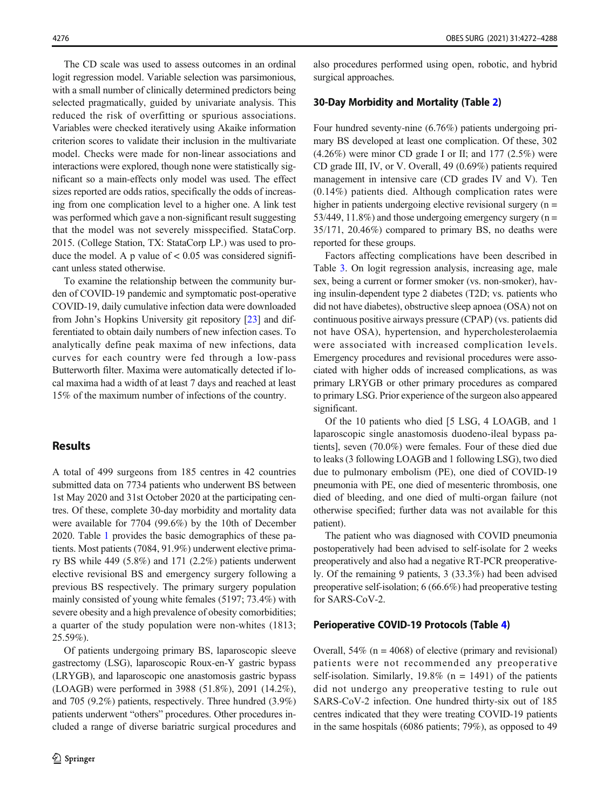The CD scale was used to assess outcomes in an ordinal logit regression model. Variable selection was parsimonious, with a small number of clinically determined predictors being selected pragmatically, guided by univariate analysis. This reduced the risk of overfitting or spurious associations. Variables were checked iteratively using Akaike information criterion scores to validate their inclusion in the multivariate model. Checks were made for non-linear associations and interactions were explored, though none were statistically significant so a main-effects only model was used. The effect sizes reported are odds ratios, specifically the odds of increasing from one complication level to a higher one. A link test was performed which gave a non-significant result suggesting that the model was not severely misspecified. StataCorp. 2015. (College Station, TX: StataCorp LP.) was used to produce the model. A p value of  $< 0.05$  was considered significant unless stated otherwise.

To examine the relationship between the community burden of COVID-19 pandemic and symptomatic post-operative COVID-19, daily cumulative infection data were downloaded from John's Hopkins University git repository [[23](#page-15-0)] and differentiated to obtain daily numbers of new infection cases. To analytically define peak maxima of new infections, data curves for each country were fed through a low-pass Butterworth filter. Maxima were automatically detected if local maxima had a width of at least 7 days and reached at least 15% of the maximum number of infections of the country.

## Results

A total of 499 surgeons from 185 centres in 42 countries submitted data on 7734 patients who underwent BS between 1st May 2020 and 31st October 2020 at the participating centres. Of these, complete 30-day morbidity and mortality data were available for 7704 (99.6%) by the 10th of December 2020. Table [1](#page-5-0) provides the basic demographics of these patients. Most patients (7084, 91.9%) underwent elective primary BS while 449 (5.8%) and 171 (2.2%) patients underwent elective revisional BS and emergency surgery following a previous BS respectively. The primary surgery population mainly consisted of young white females (5197; 73.4%) with severe obesity and a high prevalence of obesity comorbidities; a quarter of the study population were non-whites (1813; 25.59%).

Of patients undergoing primary BS, laparoscopic sleeve gastrectomy (LSG), laparoscopic Roux-en-Y gastric bypass (LRYGB), and laparoscopic one anastomosis gastric bypass (LOAGB) were performed in 3988 (51.8%), 2091 (14.2%), and 705 (9.2%) patients, respectively. Three hundred (3.9%) patients underwent "others" procedures. Other procedures included a range of diverse bariatric surgical procedures and

also procedures performed using open, robotic, and hybrid surgical approaches.

#### 30-Day Morbidity and Mortality (Table [2\)](#page-7-0)

Four hundred seventy-nine (6.76%) patients undergoing primary BS developed at least one complication. Of these, 302  $(4.26\%)$  were minor CD grade I or II; and 177  $(2.5\%)$  were CD grade III, IV, or V. Overall, 49 (0.69%) patients required management in intensive care (CD grades IV and V). Ten (0.14%) patients died. Although complication rates were higher in patients undergoing elective revisional surgery  $(n =$ 53/449, 11.8%) and those undergoing emergency surgery  $(n =$ 35/171, 20.46%) compared to primary BS, no deaths were reported for these groups.

Factors affecting complications have been described in Table [3.](#page-8-0) On logit regression analysis, increasing age, male sex, being a current or former smoker (vs. non-smoker), having insulin-dependent type 2 diabetes (T2D; vs. patients who did not have diabetes), obstructive sleep apnoea (OSA) not on continuous positive airways pressure (CPAP) (vs. patients did not have OSA), hypertension, and hypercholesterolaemia were associated with increased complication levels. Emergency procedures and revisional procedures were associated with higher odds of increased complications, as was primary LRYGB or other primary procedures as compared to primary LSG. Prior experience of the surgeon also appeared significant.

Of the 10 patients who died [5 LSG, 4 LOAGB, and 1 laparoscopic single anastomosis duodeno-ileal bypass patients], seven (70.0%) were females. Four of these died due to leaks (3 following LOAGB and 1 following LSG), two died due to pulmonary embolism (PE), one died of COVID-19 pneumonia with PE, one died of mesenteric thrombosis, one died of bleeding, and one died of multi-organ failure (not otherwise specified; further data was not available for this patient).

The patient who was diagnosed with COVID pneumonia postoperatively had been advised to self-isolate for 2 weeks preoperatively and also had a negative RT-PCR preoperatively. Of the remaining 9 patients, 3 (33.3%) had been advised preoperative self-isolation; 6 (66.6%) had preoperative testing for SARS-CoV-2.

#### Perioperative COVID-19 Protocols (Table [4\)](#page-9-0)

Overall,  $54\%$  (n = 4068) of elective (primary and revisional) patients were not recommended any preoperative self-isolation. Similarly,  $19.8\%$  (n = 1491) of the patients did not undergo any preoperative testing to rule out SARS-CoV-2 infection. One hundred thirty-six out of 185 centres indicated that they were treating COVID-19 patients in the same hospitals (6086 patients; 79%), as opposed to 49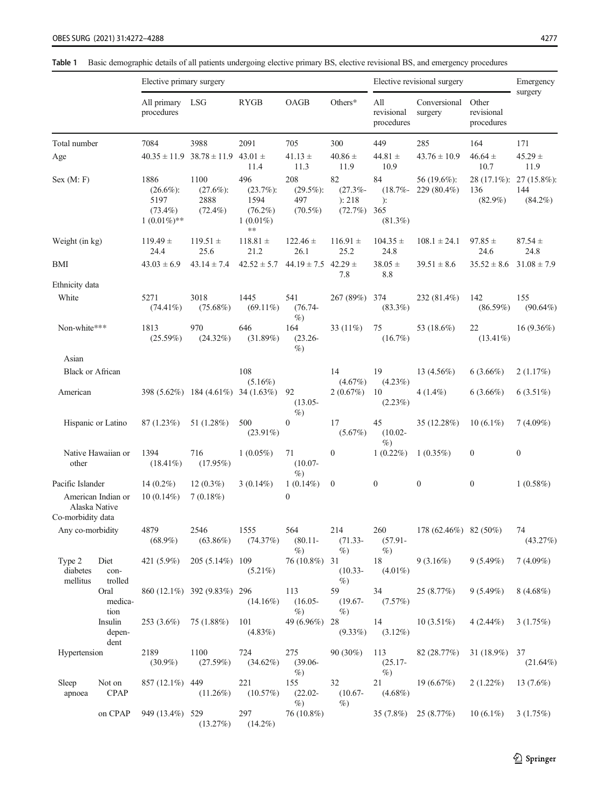<span id="page-5-0"></span>Table 1 Basic demographic details of all patients undergoing elective primary BS, elective revisional BS, and emergency procedures

|                                |                                     | Elective primary surgery                                    |                                               |                                                                |                                          |                                           | Elective revisional surgery                  | Emergency                  |                                   |                                     |  |
|--------------------------------|-------------------------------------|-------------------------------------------------------------|-----------------------------------------------|----------------------------------------------------------------|------------------------------------------|-------------------------------------------|----------------------------------------------|----------------------------|-----------------------------------|-------------------------------------|--|
|                                |                                     | All primary LSG<br>procedures                               |                                               | <b>RYGB</b>                                                    | OAGB                                     | Others $*$                                | All<br>revisional<br>procedures              | Conversional<br>surgery    | Other<br>revisional<br>procedures | surgery                             |  |
| Total number                   |                                     | 7084                                                        | 3988                                          | 2091                                                           | 705                                      | 300                                       | 449                                          | 285                        | 164                               | 171                                 |  |
| Age                            |                                     |                                                             | $40.35 \pm 11.9$ $38.78 \pm 11.9$ $43.01 \pm$ | 11.4                                                           | $41.13 \pm$<br>11.3                      | $40.86 \pm$<br>11.9                       | $44.81 \pm$<br>10.9                          | $43.76 \pm 10.9$           | $46.64 \pm$<br>10.7               | $45.29 \pm$<br>11.9                 |  |
| Sex (M: F)                     |                                     | 1886<br>$(26.6\%)$ :<br>5197<br>$(73.4\%)$<br>$1(0.01\%)**$ | 1100<br>$(27.6\%)$ :<br>2888<br>$(72.4\%)$    | 496<br>$(23.7\%)$ :<br>1594<br>$(76.2\%)$<br>$1(0.01\%)$<br>** | 208<br>$(29.5\%)$ :<br>497<br>$(70.5\%)$ | 82<br>$(27.3\% -$<br>): 218<br>$(72.7\%)$ | 84<br>$(18.7\% -$<br>):<br>365<br>$(81.3\%)$ | 56 (19.6%):<br>229 (80.4%) | 28 (17.1%):<br>136<br>$(82.9\%)$  | $27(15.8\%)$ :<br>144<br>$(84.2\%)$ |  |
| Weight (in kg)                 |                                     | $119.49 \pm$<br>24.4                                        | $119.51 \pm$<br>25.6                          | $118.81$ $\pm$<br>21.2                                         | $122.46 \pm$<br>26.1                     | $116.91 \pm$<br>25.2                      | $104.35 \pm$<br>24.8                         | $108.1 \pm 24.1$           | $97.85 \pm$<br>24.6               | $87.54 \pm$<br>24.8                 |  |
| BMI                            |                                     | $43.03 \pm 6.9$                                             | $43.14 \pm 7.4$                               | $42.52 \pm 5.7$                                                | $44.19 \pm 7.5$ $42.29 \pm$              | 7.8                                       | $38.05 \pm$<br>8.8                           | $39.51 \pm 8.6$            | $35.52 \pm 8.6$                   | $31.08 \pm 7.9$                     |  |
| Ethnicity data                 |                                     |                                                             |                                               |                                                                |                                          |                                           |                                              |                            |                                   |                                     |  |
| White                          |                                     | 5271<br>$(74.41\%)$                                         | 3018<br>$(75.68\%)$                           | 1445<br>$(69.11\%)$                                            | 541<br>$(76.74 -$<br>$\%$                | 267 (89%)                                 | 374<br>$(83.3\%)$                            | 232 (81.4%)                | 142<br>$(86.59\%)$                | 155<br>$(90.64\%)$                  |  |
| Non-white***                   |                                     | 1813<br>(25.59%)                                            | 970<br>$(24.32\%)$                            | 646<br>(31.89%)                                                | 164<br>$(23.26 -$<br>$\%$                | 33 (11%)                                  | 75<br>$(16.7\%)$                             | 53 (18.6%)                 | 22<br>$(13.41\%)$                 | $16(9.36\%)$                        |  |
| Asian                          |                                     |                                                             |                                               |                                                                |                                          |                                           |                                              |                            |                                   |                                     |  |
| <b>Black or African</b>        |                                     |                                                             |                                               | 108<br>$(5.16\%)$                                              |                                          | 14<br>$(4.67\%)$                          | 19<br>$(4.23\%)$                             | 13 $(4.56\%)$              | $6(3.66\%)$                       | 2(1.17%)                            |  |
| American                       |                                     |                                                             | 398 (5.62%) 184 (4.61%) 34 (1.63%)            |                                                                | 92<br>$(13.05 -$                         | 2(0.67%)                                  | 10<br>$(2.23\%)$                             | $4(1.4\%)$                 | $6(3.66\%)$                       | $6(3.51\%)$                         |  |
|                                | Hispanic or Latino                  | 87(1.23%)                                                   | 51 (1.28%)                                    | 500<br>$(23.91\%)$                                             | $\%$<br>$\boldsymbol{0}$                 | 17<br>$(5.67\%)$                          | 45<br>$(10.02 -$                             | 35 (12.28%)                | $10(6.1\%)$                       | $7(4.09\%)$                         |  |
| Native Hawaiian or<br>other    |                                     | 1394<br>$(18.41\%)$                                         | 716<br>$(17.95\%)$                            | $1(0.05\%)$                                                    | 71<br>$(10.07 -$<br>$\%$                 | $\boldsymbol{0}$                          | $\%$<br>$1(0.22\%)$                          | $1(0.35\%)$                | $\bf{0}$                          | $\boldsymbol{0}$                    |  |
| Pacific Islander               |                                     | $14(0.2\%)$                                                 | $12(0.3\%)$                                   | $3(0.14\%)$                                                    | $1(0.14\%)$                              | $\mathbf{0}$                              | $\boldsymbol{0}$                             | $\boldsymbol{0}$           | $\boldsymbol{0}$                  | $1(0.58\%)$                         |  |
| Co-morbidity data              | American Indian or<br>Alaska Native | $10(0.14\%)$                                                | 7(0.18%)                                      |                                                                | 0                                        |                                           |                                              |                            |                                   |                                     |  |
| Any co-morbidity               |                                     | 4879<br>$(68.9\%)$                                          | 2546<br>$(63.86\%)$                           | 1555<br>(74.37%)                                               | 564<br>$(80.11 -$                        | 214<br>$(71.33 -$                         | 260<br>$(57.91 -$                            | 178 (62.46%) 82 (50%)      |                                   | 74<br>(43.27%)                      |  |
| Type 2<br>diabetes<br>mellitus | Diet<br>con-<br>trolled             |                                                             | 421 (5.9%) 205 (5.14%) 109                    | $(5.21\%)$                                                     | $\%$<br>$76(10.8\%)$ 31                  | $\%$<br>$(10.33 -$<br>$\%$                | $\%$<br>18<br>$(4.01\%)$                     | $9(3.16\%)$                | 9(5.49%)                          | $7(4.09\%)$                         |  |
|                                | Oral<br>medica-<br>tion             |                                                             | 860 (12.1%) 392 (9.83%) 296                   | $(14.16\%)$                                                    | 113<br>$(16.05 -$<br>$\%$                | 59<br>$(19.67 -$<br>$\%$                  | 34<br>(7.57%)                                | 25(8.77%)                  | $9(5.49\%)$                       | $8(4.68\%)$                         |  |
|                                | Insulin<br>depen-<br>dent           | 253 (3.6%)                                                  | 75 (1.88%)                                    | 101<br>$(4.83\%)$                                              | 49 (6.96%) 28                            | $(9.33\%)$                                | 14<br>$(3.12\%)$                             | $10(3.51\%)$               | $4(2.44\%)$                       | 3(1.75%)                            |  |
| Hypertension                   |                                     | 2189<br>$(30.9\%)$                                          | 1100<br>(27.59%)                              | 724<br>$(34.62\%)$                                             | 275<br>$(39.06 -$<br>$\%$                | $90(30\%)$                                | 113<br>$(25.17 -$<br>$\%$ )                  | 82 (28.77%)                | $31(18.9\%)$ 37                   | $(21.64\%)$                         |  |
| Sleep<br>apnoea                | Not on<br><b>CPAP</b>               | 857 (12.1%) 449                                             | $(11.26\%)$                                   | 221<br>(10.57%)                                                | 155<br>$(22.02 -$<br>$\%$                | 32<br>$(10.67 -$<br>$\%$                  | 21<br>$(4.68\%)$                             | 19(6.67%)                  | $2(1.22\%)$                       | 13 $(7.6\%)$                        |  |
|                                | on CPAP                             | 949 (13.4%) 529                                             | (13.27%)                                      | 297<br>$(14.2\%)$                                              | 76 (10.8%)                               |                                           |                                              | $35(7.8\%)$ $25(8.77\%)$   | $10(6.1\%)$                       | 3(1.75%)                            |  |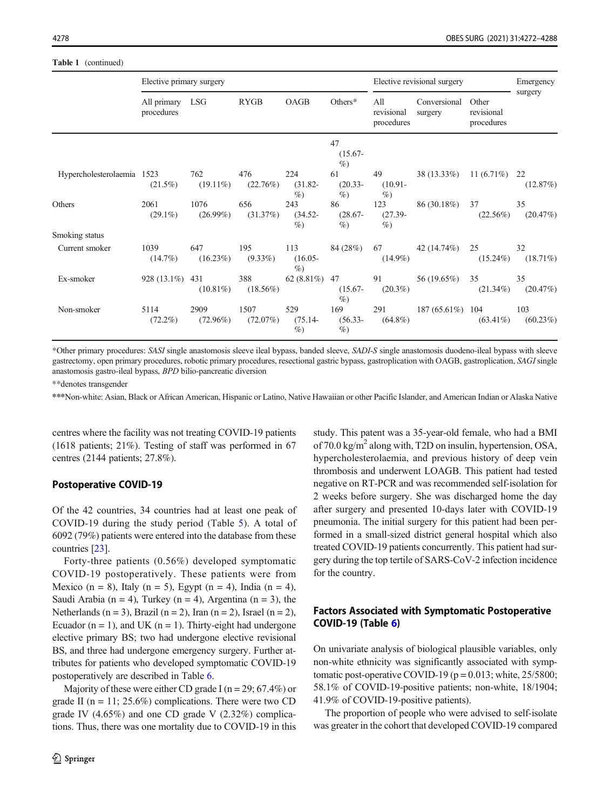|                            | Elective primary surgery      |                     |                     |                           | Elective revisional surgery | Emergency                       |                         |                                   |                    |
|----------------------------|-------------------------------|---------------------|---------------------|---------------------------|-----------------------------|---------------------------------|-------------------------|-----------------------------------|--------------------|
|                            | All primary LSG<br>procedures |                     | <b>RYGB</b>         | OAGB                      | Others*                     | All<br>revisional<br>procedures | Conversional<br>surgery | Other<br>revisional<br>procedures | surgery            |
|                            |                               |                     |                     |                           | 47<br>$(15.67 -$<br>$\%$    |                                 |                         |                                   |                    |
| Hypercholesterolaemia 1523 | $(21.5\%)$                    | 762<br>$(19.11\%)$  | 476<br>$(22.76\%)$  | 224<br>$(31.82 -$<br>$\%$ | 61<br>$(20.33 -$<br>$\%$    | 49<br>$(10.91 -$<br>$\%$        | 38 (13.33%)             | $11(6.71\%)$ 22                   | (12.87%)           |
| Others                     | 2061<br>$(29.1\%)$            | 1076<br>$(26.99\%)$ | 656<br>(31.37%)     | 243<br>$(34.52 -$<br>$\%$ | 86<br>$(28.67 -$<br>$\%$    | 123<br>$(27.39 -$<br>$\%$       | 86 (30.18%)             | 37<br>$(22.56\%)$                 | 35<br>(20.47%)     |
| Smoking status             |                               |                     |                     |                           |                             |                                 |                         |                                   |                    |
| Current smoker             | 1039<br>$(14.7\%)$            | 647<br>$(16.23\%)$  | 195<br>$(9.33\%)$   | 113<br>$(16.05 -$<br>$\%$ |                             | 84 (28%) 67<br>$(14.9\%)$       | 42 (14.74%)             | 25<br>$(15.24\%)$                 | 32<br>$(18.71\%)$  |
| Ex-smoker                  | 928 (13.1%) 431               | $(10.81\%)$         | 388<br>$(18.56\%)$  | $62(8.81\%)$ 47           | $(15.67 -$<br>$\%$          | 91<br>$(20.3\%)$                | 56 (19.65%)             | 35<br>$(21.34\%)$                 | 35<br>(20.47%)     |
| Non-smoker                 | 5114<br>$(72.2\%)$            | 2909<br>$(72.96\%)$ | 1507<br>$(72.07\%)$ | 529<br>$(75.14 -$<br>$\%$ | 169<br>$(56.33 -$<br>$\%$   | 291<br>$(64.8\%)$               | 187 (65.61%) 104        | $(63.41\%)$                       | 103<br>$(60.23\%)$ |

\*Other primary procedures: SASI single anastomosis sleeve ileal bypass, banded sleeve, SADI-S single anastomosis duodeno-ileal bypass with sleeve gastrectomy, open primary procedures, robotic primary procedures, resectional gastric bypass, gastroplication with OAGB, gastroplication, SAGI single anastomosis gastro-ileal bypass, BPD bilio-pancreatic diversion

\*\*denotes transgender

\*\*\*Non-white: Asian, Black or African American, Hispanic or Latino, Native Hawaiian or other Pacific Islander, and American Indian or Alaska Native

centres where the facility was not treating COVID-19 patients (1618 patients; 21%). Testing of staff was performed in 67 centres (2144 patients; 27.8%).

## Postoperative COVID-19

Of the 42 countries, 34 countries had at least one peak of COVID-19 during the study period (Table [5\)](#page-10-0). A total of 6092 (79%) patients were entered into the database from these countries [\[23\]](#page-15-0).

Forty-three patients (0.56%) developed symptomatic COVID-19 postoperatively. These patients were from Mexico (n = 8), Italy (n = 5), Egypt (n = 4), India (n = 4), Saudi Arabia (n = 4), Turkey (n = 4), Argentina (n = 3), the Netherlands ( $n = 3$ ), Brazil ( $n = 2$ ), Iran ( $n = 2$ ), Israel ( $n = 2$ ), Ecuador ( $n = 1$ ), and UK ( $n = 1$ ). Thirty-eight had undergone elective primary BS; two had undergone elective revisional BS, and three had undergone emergency surgery. Further attributes for patients who developed symptomatic COVID-19 postoperatively are described in Table [6.](#page-11-0)

Majority of these were either CD grade I ( $n = 29$ ; 67.4%) or grade II ( $n = 11$ ; 25.6%) complications. There were two CD grade IV (4.65%) and one CD grade V (2.32%) complications. Thus, there was one mortality due to COVID-19 in this study. This patent was a 35-year-old female, who had a BMI of  $70.0 \text{ kg/m}^2$  along with, T2D on insulin, hypertension, OSA, hypercholesterolaemia, and previous history of deep vein thrombosis and underwent LOAGB. This patient had tested negative on RT-PCR and was recommended self-isolation for 2 weeks before surgery. She was discharged home the day after surgery and presented 10-days later with COVID-19 pneumonia. The initial surgery for this patient had been performed in a small-sized district general hospital which also treated COVID-19 patients concurrently. This patient had surgery during the top tertile of SARS-CoV-2 infection incidence for the country.

# Factors Associated with Symptomatic Postoperative COVID-19 (Table [6\)](#page-11-0)

On univariate analysis of biological plausible variables, only non-white ethnicity was significantly associated with symptomatic post-operative COVID-19 ( $p = 0.013$ ; white, 25/5800; 58.1% of COVID-19-positive patients; non-white, 18/1904; 41.9% of COVID-19-positive patients).

The proportion of people who were advised to self-isolate was greater in the cohort that developed COVID-19 compared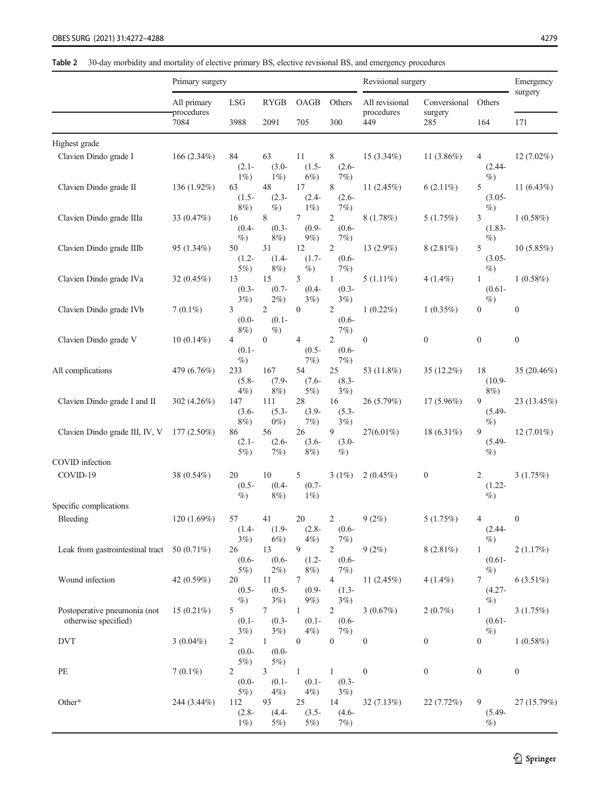<span id="page-7-0"></span>Table 2 30-day morbidity and mortality of elective primary BS, elective revisional BS, and emergency procedures

|                                                      | Primary surgery           |                                   |                                    |                                    | Revisional surgery                  |                              |                         | Emergency                         |                  |
|------------------------------------------------------|---------------------------|-----------------------------------|------------------------------------|------------------------------------|-------------------------------------|------------------------------|-------------------------|-----------------------------------|------------------|
|                                                      | All primary<br>procedures | <b>LSG</b>                        | <b>RYGB</b>                        | OAGB                               | Others                              | All revisional<br>procedures | Conversional<br>surgery | Others                            | surgery          |
|                                                      | 7084                      | 3988                              | 2091                               | 705                                | 300                                 | 449                          | 285                     | 164                               | 171              |
| Highest grade                                        |                           |                                   |                                    |                                    |                                     |                              |                         |                                   |                  |
| Clavien Dindo grade I                                | 166 (2.34%)               | 84<br>$(2.1 -$<br>$1\%$           | 63<br>$(3.0 -$<br>$1\%$            | 11<br>$(1.5 -$<br>$6\%)$           | 8<br>$(2.6 -$<br>$7\%$              | 15 (3.34%)                   | 11 $(3.86\%)$           | 4<br>$(2.44 -$<br>$\%$            | $12(7.02\%)$     |
| Clavien Dindo grade II                               | 136 (1.92%)               | 63<br>$(1.5 -$<br>$8\%$           | 48<br>$(2.3 -$<br>$\%$             | 17<br>$(2.4 -$<br>$1\%$            | 8<br>$(2.6 -$<br>$7\%$              | 11 (2.45%)                   | $6(2.11\%)$             | 5<br>$(3.05 -$<br>$\%$            | 11 $(6.43\%)$    |
| Clavien Dindo grade IIIa                             | 33 $(0.47%)$              | 16<br>$(0.4 -$<br>$\%$            | 8<br>$(0.3 -$<br>8%)               | 7<br>$(0.9 -$<br>$9\%)$            | $\overline{c}$<br>$(0.6 -$<br>$7\%$ | 8(1.78%)                     | 5(1.75%)                | 3<br>$(1.83 -$<br>$\%$            | $1(0.58\%)$      |
| Clavien Dindo grade IIIb                             | 95(1.34%)                 | 50<br>$(1.2 -$<br>$5\%$           | 31<br>$(1.4-$<br>8%)               | 12<br>$(1.7-$<br>$\%$              | $\overline{c}$<br>$(0.6 -$<br>$7\%$ | 13 (2.9%)                    | $8(2.81\%)$             | 5<br>$(3.05 -$<br>$\%$            | 10(5.85%)        |
| Clavien Dindo grade IVa                              | 32(0.45%)                 | 13<br>$(0.3 -$<br>3%)             | 15<br>$(0.7 -$<br>$2\%$ )          | 3<br>$(0.4 -$<br>$3\%$             | $\mathbf{1}$<br>$(0.3 -$<br>$3\%$   | $5(1.11\%)$                  | $4(1.4\%)$              | 1<br>$(0.61 -$<br>$\%$            | 1(0.58%)         |
| Clavien Dindo grade IVb                              | $7(0.1\%)$                | 3<br>$(0.0 -$<br>8%)              | $\overline{2}$<br>$(0.1 -$<br>$\%$ | $\boldsymbol{0}$                   | $\overline{c}$<br>$(0.6 -$<br>$7\%$ | $1(0.22\%)$                  | $1(0.35\%)$             | $\boldsymbol{0}$                  | $\boldsymbol{0}$ |
| Clavien Dindo grade V                                | $10(0.14\%)$              | 4<br>$(0.1 -$<br>$\%$ )           | $\boldsymbol{0}$                   | 4<br>$(0.5 -$<br>$7\%$             | $\overline{c}$<br>$(0.6 -$<br>$7\%$ | $\boldsymbol{0}$             | $\boldsymbol{0}$        | $\boldsymbol{0}$                  | $\boldsymbol{0}$ |
| All complications                                    | 479 (6.76%)               | 233<br>$(5.8 -$<br>$4%$ )         | 167<br>$(7.9 -$<br>$8\%$           | 54<br>$(7.6 -$<br>$5\%$            | 25<br>$(8.3 -$<br>$3\%$             | 53 (11.8%)                   | 35 (12.2%)              | 18<br>$(10.9 -$<br>8%)            | 35 (20.46%)      |
| Clavien Dindo grade I and II                         | 302 $(4.26\%)$            | 147<br>$(3.6 -$<br>$8\%$          | 111<br>$(5.3 -$<br>$0\%$           | 28<br>$(3.9 -$<br>7%               | 16<br>$(5.3 -$<br>$3\%$             | 26 (5.79%)                   | $17(5.96\%)$            | 9<br>$(5.49 -$<br>$\%$            | 23 (13.45%)      |
| Clavien Dindo grade III, IV, V                       | $177(2.50\%)$             | 86<br>$(2.1 -$<br>$5\%$           | 56<br>$(2.6 -$<br>$7\%$            | 26<br>$(3.6 -$<br>$8\%$            | 9<br>$(3.0 -$<br>$\%$               | $27(6.01\%)$                 | 18 (6.31%)              | 9<br>$(5.49 -$<br>$\%$            | $12(7.01\%)$     |
| COVID infection                                      |                           |                                   |                                    |                                    |                                     |                              |                         |                                   |                  |
| COVID-19                                             | 38 (0.54%)                | 20<br>$(0.5 -$<br>$\%$            | 10<br>$(0.4 -$<br>8%)              | 5<br>$(0.7 -$<br>$1\%$             | 3(1%)                               | 2(0.45%)                     | $\boldsymbol{0}$        | 2<br>$(1.22 -$<br>$\%$            | 3(1.75%)         |
| Specific complications                               |                           |                                   |                                    |                                    |                                     |                              |                         |                                   |                  |
| Bleeding                                             | 120(1.69%)                | 57<br>$(1.4 -$<br>$3\%$           | 41<br>$(1.9 -$<br>$6\%$ )          | 20<br>$(2.8 -$<br>4%               | 2<br>$(0.6 -$<br>$7\%)$             | 9(2%)                        | 5(1.75%)                | 4<br>$(2.44 -$<br>$\%$            | $\boldsymbol{0}$ |
| Leak from gastrointestinal tract $50(0.71\%)$        |                           | 26<br>$(0.6 -$<br>$5\%$           | 13<br>$(0.6 -$<br>$2\%$ )          | 9<br>$(1.2 -$<br>8%)               | $\overline{c}$<br>$(0.6 -$<br>$7\%$ | 9(2%)                        | $8(2.81\%)$             | $\mathbf{1}$<br>$(0.61 -$<br>$\%$ | 2(1.17%)         |
| Wound infection                                      | 42 (0.59%)                | 20<br>$(0.5 -$<br>$\%$ )          | 11<br>$(0.5 -$<br>$3\%$            | 7<br>$(0.9 -$<br>$9\%)$            | 4<br>$(1.3 -$<br>$3\%$              | 11 $(2.45%)$                 | $4(1.4\%)$              | 7<br>$(4.27 -$<br>$\%$            | $6(3.51\%)$      |
| Postoperative pneumonia (not<br>otherwise specified) | 15 $(0.21\%)$             | 5<br>$(0.1 -$<br>$3\%$            | 7<br>$(0.3 -$<br>$3\%$             | $\mathbf{1}$<br>$(0.1 -$<br>$4%$ ) | $\overline{c}$<br>$(0.6 -$<br>7%    | 3(0.67%)                     | 2(0.7%)                 | $\mathbf{1}$<br>$(0.61 -$<br>$\%$ | 3(1.75%)         |
| <b>DVT</b>                                           | $3(0.04\%)$               | $\overline{c}$<br>$-0.0$<br>$5\%$ | $\mathbf{1}$<br>$(0.0 -$<br>5%     | $\boldsymbol{0}$                   | $\boldsymbol{0}$                    | $\boldsymbol{0}$             | $\boldsymbol{0}$        | $\boldsymbol{0}$                  | 1(0.58%)         |
| PE                                                   | $7(0.1\%)$                | 2<br>$-0.0$<br>$5\%$              | 3<br>$(0.1 -$<br>$4%$ )            | $\mathbf{1}$<br>$(0.1 -$<br>$4%$ ) | $\mathbf{1}$<br>$(0.3 -$<br>$3\%$   | $\boldsymbol{0}$             | $\boldsymbol{0}$        | $\boldsymbol{0}$                  | $\boldsymbol{0}$ |
| Other*                                               | 244 (3.44%)               | 112<br>$(2.8 -$<br>$1\%$          | 93<br>$(4.4 -$<br>$5\%$            | 25<br>$(3.5 -$<br>$5\%$            | 14<br>$(4.6 -$<br>$7\%$             | 32(7.13%)                    | 22(7.72%)               | 9<br>$(5.49 -$<br>$\%$            | 27 (15.79%)      |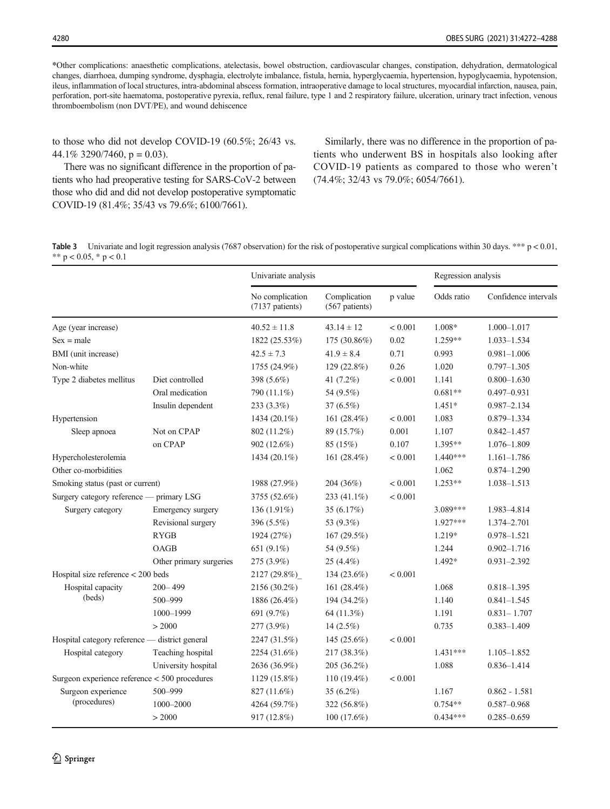<span id="page-8-0"></span>\*Other complications: anaesthetic complications, atelectasis, bowel obstruction, cardiovascular changes, constipation, dehydration, dermatological changes, diarrhoea, dumping syndrome, dysphagia, electrolyte imbalance, fistula, hernia, hyperglycaemia, hypertension, hypoglycaemia, hypotension, ileus, inflammation of local structures, intra-abdominal abscess formation, intraoperative damage to local structures, myocardial infarction, nausea, pain, perforation, port-site haematoma, postoperative pyrexia, reflux, renal failure, type 1 and 2 respiratory failure, ulceration, urinary tract infection, venous thromboembolism (non DVT/PE), and wound dehiscence

to those who did not develop COVID-19 (60.5%; 26/43 vs. 44.1% 3290/7460,  $p = 0.03$ ).

There was no significant difference in the proportion of patients who had preoperative testing for SARS-CoV-2 between those who did and did not develop postoperative symptomatic COVID-19 (81.4%; 35/43 vs 79.6%; 6100/7661).

Similarly, there was no difference in the proportion of patients who underwent BS in hospitals also looking after COVID-19 patients as compared to those who weren't (74.4%; 32/43 vs 79.0%; 6054/7661).

**Table 3** Univariate and logit regression analysis (7687 observation) for the risk of postoperative surgical complications within 30 days. \*\*\*  $p < 0.01$ , \*\*  $p < 0.05$ , \*  $p < 0.1$ 

|                                                |                         | Univariate analysis                |                                | Regression analysis |            |                      |
|------------------------------------------------|-------------------------|------------------------------------|--------------------------------|---------------------|------------|----------------------|
|                                                |                         | No complication<br>(7137 patients) | Complication<br>(567 patients) | p value             | Odds ratio | Confidence intervals |
| Age (year increase)                            |                         | $40.52 \pm 11.8$                   | $43.14 \pm 12$                 | < 0.001             | 1.008*     | $1.000 - 1.017$      |
| $Sex = male$                                   |                         | 1822 (25.53%)                      | 175 (30.86%)                   | 0.02                | $1.259**$  | $1.033 - 1.534$      |
| BMI (unit increase)                            |                         | $42.5 \pm 7.3$                     | $41.9 \pm 8.4$                 | 0.71                | 0.993      | $0.981 - 1.006$      |
| Non-white                                      |                         | 1755 (24.9%)                       | 129 (22.8%)                    | 0.26                | 1.020      | $0.797 - 1.305$      |
| Type 2 diabetes mellitus                       | Diet controlled         | 398 (5.6%)                         | 41 (7.2%)                      | < 0.001             | 1.141      | $0.800 - 1.630$      |
|                                                | Oral medication         | 790 (11.1%)                        | 54 (9.5%)                      |                     | $0.681**$  | $0.497 - 0.931$      |
|                                                | Insulin dependent       | $233(3.3\%)$                       | $37(6.5\%)$                    |                     | $1.451*$   | $0.987 - 2.134$      |
| Hypertension                                   |                         | 1434 (20.1%)                       | 161 $(28.4\%)$                 | < 0.001             | 1.083      | $0.879 - 1.334$      |
| Sleep apnoea                                   | Not on CPAP             | 802 (11.2%)                        | 89 (15.7%)                     | 0.001               | 1.107      | $0.842 - 1.457$      |
|                                                | on CPAP                 | 902 (12.6%)                        | 85 (15%)                       | 0.107               | 1.395**    | 1.076-1.809          |
| Hypercholesterolemia                           |                         | 1434 (20.1%)                       | 161 (28.4%)                    | < 0.001             | $1.440***$ | $1.161 - 1.786$      |
| Other co-morbidities                           |                         |                                    |                                |                     | 1.062      | $0.874 - 1.290$      |
| Smoking status (past or current)               |                         | 1988 (27.9%)                       | 204 (36%)                      | < 0.001             | $1.253**$  | 1.038-1.513          |
| Surgery category reference — primary LSG       |                         | 3755 (52.6%)                       | 233 $(41.1\%)$                 | < 0.001             |            |                      |
| Surgery category                               | Emergency surgery       | 136 (1.91%)                        | 35 (6.17%)                     |                     | 3.089***   | 1.983-4.814          |
|                                                | Revisional surgery      | 396 (5.5%)                         | 53 (9.3%)                      |                     | $1.927***$ | 1.374-2.701          |
|                                                | <b>RYGB</b>             | 1924 (27%)                         | 167 (29.5%)                    |                     | 1.219*     | 0.978-1.521          |
|                                                | OAGB                    | 651 (9.1%)                         | 54 (9.5%)                      |                     | 1.244      | $0.902 - 1.716$      |
|                                                | Other primary surgeries | 275 (3.9%)                         | 25 (4.4%)                      |                     | 1.492*     | 0.931-2.392          |
| Hospital size reference < 200 beds             |                         | 2127 (29.8%)                       | $134(23.6\%)$                  | < 0.001             |            |                      |
| Hospital capacity                              | $200 - 499$             | 2156 (30.2%)                       | 161 (28.4%)                    |                     | 1.068      | $0.818 - 1.395$      |
| (beds)                                         | 500-999                 | 1886 (26.4%)                       | 194 (34.2%)                    |                     | 1.140      | $0.841 - 1.545$      |
|                                                | 1000-1999               | 691 (9.7%)                         | 64 (11.3%)                     |                     | 1.191      | $0.831 - 1.707$      |
|                                                | > 2000                  | 277 (3.9%)                         | $14(2.5\%)$                    |                     | 0.735      | $0.383 - 1.409$      |
| Hospital category reference - district general |                         | 2247 (31.5%)                       | 145 $(25.6\%)$                 | < 0.001             |            |                      |
| Hospital category                              | Teaching hospital       | 2254 (31.6%)                       | 217 (38.3%)                    |                     | $1.431***$ | $1.105 - 1.852$      |
|                                                | University hospital     | 2636 (36.9%)                       | 205 (36.2%)                    |                     | 1.088      | $0.836 - 1.414$      |
| Surgeon experience reference < 500 procedures  |                         | 1129 (15.8%)                       | 110 $(19.4\%)$                 | < 0.001             |            |                      |
| Surgeon experience                             | 500-999                 | 827 (11.6%)                        | 35 $(6.2\%)$                   |                     | 1.167      | $0.862 - 1.581$      |
| (procedures)                                   | 1000-2000               | 4264 (59.7%)                       | 322 (56.8%)                    |                     | $0.754**$  | $0.587 - 0.968$      |
|                                                | > 2000                  | 917 (12.8%)                        | 100(17.6%)                     |                     | $0.434***$ | $0.285 - 0.659$      |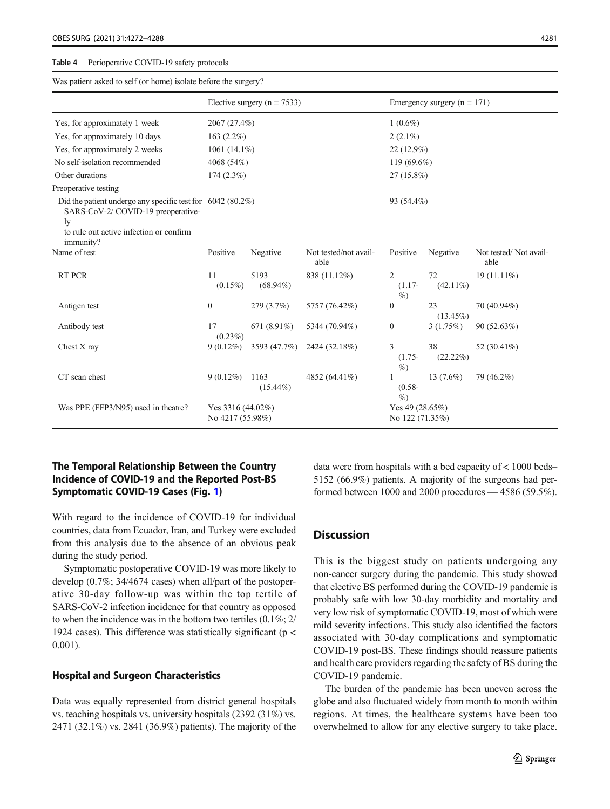#### <span id="page-9-0"></span>Table 4 Perioperative COVID-19 safety protocols

Was patient asked to self (or home) isolate before the surgery?

|                                                                                                                                                                   | Elective surgery ( $n = 7533$ )          |                     |                               | Emergency surgery $(n = 171)$        |                   |                               |  |  |
|-------------------------------------------------------------------------------------------------------------------------------------------------------------------|------------------------------------------|---------------------|-------------------------------|--------------------------------------|-------------------|-------------------------------|--|--|
| Yes, for approximately 1 week                                                                                                                                     | 2067 (27.4%)                             |                     |                               | $1(0.6\%)$                           |                   |                               |  |  |
| Yes, for approximately 10 days                                                                                                                                    | $163(2.2\%)$                             |                     |                               | $2(2.1\%)$                           |                   |                               |  |  |
| Yes, for approximately 2 weeks                                                                                                                                    | 1061 $(14.1\%)$                          |                     |                               | $22(12.9\%)$                         |                   |                               |  |  |
| No self-isolation recommended                                                                                                                                     | 4068 (54%)                               |                     |                               | 119 (69.6%)                          |                   |                               |  |  |
| Other durations                                                                                                                                                   | $174(2.3\%)$                             |                     |                               | $27(15.8\%)$                         |                   |                               |  |  |
| Preoperative testing                                                                                                                                              |                                          |                     |                               |                                      |                   |                               |  |  |
| Did the patient undergo any specific test for $6042 (80.2\%)$<br>SARS-CoV-2/ COVID-19 preoperative-<br>ly<br>to rule out active infection or confirm<br>immunity? |                                          |                     |                               | 93 (54.4%)                           |                   |                               |  |  |
| Name of test                                                                                                                                                      | Positive                                 | Negative            | Not tested/not avail-<br>able | Positive                             | Negative          | Not tested/Not avail-<br>able |  |  |
| <b>RT PCR</b>                                                                                                                                                     | 11<br>$(0.15\%)$                         | 5193<br>$(68.94\%)$ | 838 (11.12%)                  | $\overline{2}$<br>$(1.17-$<br>$\%$   | 72<br>$(42.11\%)$ | $19(11.11\%)$                 |  |  |
| Antigen test                                                                                                                                                      | $\boldsymbol{0}$                         | 279 (3.7%)          | 5757 (76.42%)                 | $\boldsymbol{0}$                     | 23<br>$(13.45\%)$ | 70 (40.94%)                   |  |  |
| Antibody test                                                                                                                                                     | 17<br>$(0.23\%)$                         | 671 $(8.91\%)$      | 5344 (70.94%)                 | $\mathbf{0}$                         | 3(1.75%)          | 90 (52.63%)                   |  |  |
| Chest X ray                                                                                                                                                       | $9(0.12\%)$                              | 3593 (47.7%)        | 2424 (32.18%)                 | 3<br>$(1.75 -$<br>$\%$               | 38<br>$(22.22\%)$ | 52 (30.41%)                   |  |  |
| CT scan chest                                                                                                                                                     | $9(0.12\%)$                              | 1163<br>$(15.44\%)$ | 4852 (64.41%)                 | 1<br>$(0.58 -$<br>$\%$               | 13 $(7.6\%)$      | 79 (46.2%)                    |  |  |
| Was PPE (FFP3/N95) used in theatre?                                                                                                                               | Yes 3316 $(44.02\%)$<br>No 4217 (55.98%) |                     |                               | Yes 49 $(28.65%)$<br>No 122 (71.35%) |                   |                               |  |  |

# The Temporal Relationship Between the Country Incidence of COVID-19 and the Reported Post-BS Symptomatic COVID-19 Cases (Fig. [1\)](#page-11-0)

With regard to the incidence of COVID-19 for individual countries, data from Ecuador, Iran, and Turkey were excluded from this analysis due to the absence of an obvious peak during the study period.

Symptomatic postoperative COVID-19 was more likely to develop (0.7%; 34/4674 cases) when all/part of the postoperative 30-day follow-up was within the top tertile of SARS-CoV-2 infection incidence for that country as opposed to when the incidence was in the bottom two tertiles (0.1%; 2/ 1924 cases). This difference was statistically significant (p < 0.001).

# Hospital and Surgeon Characteristics

Data was equally represented from district general hospitals vs. teaching hospitals vs. university hospitals (2392 (31%) vs. 2471 (32.1%) vs. 2841 (36.9%) patients). The majority of the data were from hospitals with a bed capacity of < 1000 beds– 5152 (66.9%) patients. A majority of the surgeons had performed between 1000 and 2000 procedures — 4586 (59.5%).

# **Discussion**

This is the biggest study on patients undergoing any non-cancer surgery during the pandemic. This study showed that elective BS performed during the COVID-19 pandemic is probably safe with low 30-day morbidity and mortality and very low risk of symptomatic COVID-19, most of which were mild severity infections. This study also identified the factors associated with 30-day complications and symptomatic COVID-19 post-BS. These findings should reassure patients and health care providers regarding the safety of BS during the COVID-19 pandemic.

The burden of the pandemic has been uneven across the globe and also fluctuated widely from month to month within regions. At times, the healthcare systems have been too overwhelmed to allow for any elective surgery to take place.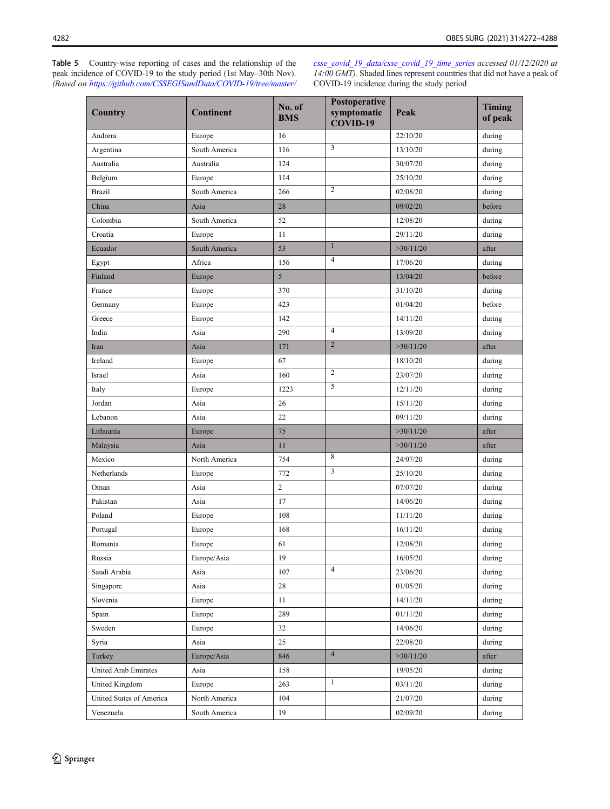<span id="page-10-0"></span>Table 5 Country-wise reporting of cases and the relationship of the peak incidence of COVID-19 to the study period (1st May–30th Nov). (Based on [https://github.com/CSSEGISandData/COVID-19/tree/master/](https://github.com/CSSEGISandData/COVID-19/tree/master/csse_covid_19_data/csse_covid_19_time_series) [csse\\_covid\\_19\\_data/csse\\_covid\\_19\\_time\\_series](https://github.com/CSSEGISandData/COVID-19/tree/master/csse_covid_19_data/csse_covid_19_time_series) accessed 01/12/2020 at  $14:00$  GMT). Shaded lines represent countries that did not have a peak of COVID-19 incidence during the study period

| Country                  | <b>Continent</b> | No. of<br><b>BMS</b> | Postoperative<br>symptomatic<br>COVID-19 | Peak      | <b>Timing</b><br>of peak |
|--------------------------|------------------|----------------------|------------------------------------------|-----------|--------------------------|
| Andorra                  | Europe           | 16                   |                                          | 22/10/20  | during                   |
| Argentina                | South America    | 116                  | 3                                        | 13/10/20  | during                   |
| Australia                | Australia        | 124                  |                                          | 30/07/20  | during                   |
| Belgium                  | Europe           | 114                  |                                          | 25/10/20  | during                   |
| <b>Brazil</b>            | South America    | 266                  | 2                                        | 02/08/20  | during                   |
| China                    | Asia             | 28                   |                                          | 09/02/20  | before                   |
| Colombia                 | South America    | 52                   |                                          | 12/08/20  | during                   |
| Croatia                  | Europe           | 11                   |                                          | 29/11/20  | during                   |
| Ecuador                  | South America    | 53                   | $\mathbf{1}$                             | >30/11/20 | after                    |
| Egypt                    | Africa           | 156                  | 4                                        | 17/06/20  | during                   |
| Finland                  | Europe           | 5                    |                                          | 13/04/20  | before                   |
| France                   | Europe           | 370                  |                                          | 31/10/20  | during                   |
| Germany                  | Europe           | 423                  |                                          | 01/04/20  | before                   |
| Greece                   | Europe           | 142                  |                                          | 14/11/20  | during                   |
| India                    | Asia             | 290                  | 4                                        | 13/09/20  | during                   |
| Iran                     | Asia             | 171                  | $\overline{2}$                           | >30/11/20 | after                    |
| Ireland                  | Europe           | 67                   |                                          | 18/10/20  | during                   |
| Israel                   | Asia             | 160                  | 2                                        | 23/07/20  | during                   |
| Italy                    | Europe           | 1223                 | 5                                        | 12/11/20  | during                   |
| Jordan                   | Asia             | 26                   |                                          | 15/11/20  | during                   |
| Lebanon                  | Asia             | 22                   |                                          | 09/11/20  | during                   |
| Lithuania                | Europe           | 75                   |                                          | >30/11/20 | after                    |
| Malaysia                 | Asia             | 11                   |                                          | >30/11/20 | after                    |
| Mexico                   | North America    | 754                  | 8                                        | 24/07/20  | during                   |
| Netherlands              | Europe           | 772                  | 3                                        | 25/10/20  | during                   |
| Oman                     | Asia             | $\overline{c}$       |                                          | 07/07/20  | during                   |
| Pakistan                 | Asia             | 17                   |                                          | 14/06/20  | during                   |
| Poland                   | Europe           | 108                  |                                          | 11/11/20  | during                   |
| Portugal                 | Europe           | 168                  |                                          | 16/11/20  | during                   |
| Romania                  | Europe           | 61                   |                                          | 12/08/20  | during                   |
| Russia                   | Europe/Asia      | 19                   |                                          | 16/05/20  | during                   |
| Saudi Arabia             | Asia             | 107                  | 4                                        | 23/06/20  | during                   |
| Singapore                | Asia             | 28                   |                                          | 01/05/20  | during                   |
| Slovenia                 | Europe           | 11                   |                                          | 14/11/20  | during                   |
| Spain                    | Europe           | 289                  |                                          | 01/11/20  | during                   |
| Sweden                   | Europe           | 32                   |                                          | 14/06/20  | during                   |
| Syria                    | Asia             | 25                   |                                          | 22/08/20  | during                   |
| Turkey                   | Europe/Asia      | 846                  | $\overline{\mathcal{A}}$                 | >30/11/20 | after                    |
| United Arab Emirates     | Asia             | 158                  |                                          | 19/05/20  | during                   |
| United Kingdom           | Europe           | 263                  | $\mathbf{1}$                             | 03/11/20  | during                   |
| United States of America | North America    | 104                  |                                          | 21/07/20  | during                   |
| Venezuela                | South America    | 19                   |                                          | 02/09/20  | during                   |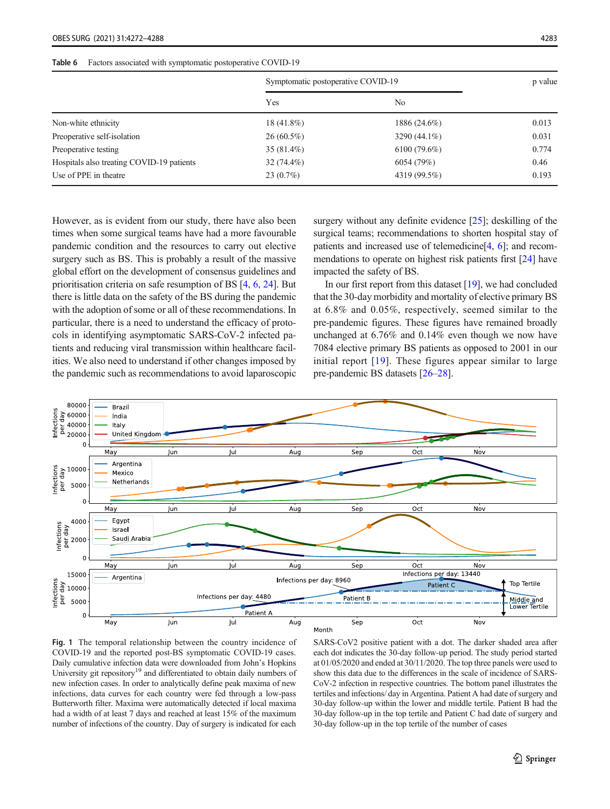#### <span id="page-11-0"></span>Table 6 Factors associated with symptomatic postoperative COVID-19

|                                           | Symptomatic postoperative COVID-19 |                | p value |
|-------------------------------------------|------------------------------------|----------------|---------|
|                                           | Yes                                | No.            |         |
| Non-white ethnicity                       | 18 (41.8%)                         | 1886 (24.6%)   | 0.013   |
| Preoperative self-isolation               | $26(60.5\%)$                       | 3290 (44.1%)   | 0.031   |
| Preoperative testing                      | $35(81.4\%)$                       | $6100(79.6\%)$ | 0.774   |
| Hospitals also treating COVID-19 patients | $32(74.4\%)$                       | 6054 (79%)     | 0.46    |
| Use of PPE in theatre                     | $23(0.7\%)$                        | 4319 (99.5%)   | 0.193   |

However, as is evident from our study, there have also been times when some surgical teams have had a more favourable pandemic condition and the resources to carry out elective surgery such as BS. This is probably a result of the massive global effort on the development of consensus guidelines and prioritisation criteria on safe resumption of BS [\[4](#page-15-0), [6](#page-15-0), [24\]](#page-15-0). But there is little data on the safety of the BS during the pandemic with the adoption of some or all of these recommendations. In particular, there is a need to understand the efficacy of protocols in identifying asymptomatic SARS-CoV-2 infected patients and reducing viral transmission within healthcare facilities. We also need to understand if other changes imposed by the pandemic such as recommendations to avoid laparoscopic surgery without any definite evidence [\[25](#page-15-0)]; deskilling of the surgical teams; recommendations to shorten hospital stay of patients and increased use of telemedicine[\[4](#page-15-0), [6\]](#page-15-0); and recommendations to operate on highest risk patients first [\[24\]](#page-15-0) have impacted the safety of BS.

In our first report from this dataset [\[19\]](#page-15-0), we had concluded that the 30-day morbidity and mortality of elective primary BS at 6.8% and 0.05%, respectively, seemed similar to the pre-pandemic figures. These figures have remained broadly unchanged at 6.76% and 0.14% even though we now have 7084 elective primary BS patients as opposed to 2001 in our initial report [\[19\]](#page-15-0). These figures appear similar to large pre-pandemic BS datasets [[26](#page-15-0)–[28](#page-15-0)].





SARS-CoV2 positive patient with a dot. The darker shaded area after each dot indicates the 30-day follow-up period. The study period started at 01/05/2020 and ended at 30/11/2020. The top three panels were used to show this data due to the differences in the scale of incidence of SARS-CoV-2 infection in respective countries. The bottom panel illustrates the tertiles and infections/ day in Argentina. Patient A had date of surgery and 30-day follow-up within the lower and middle tertile. Patient B had the 30-day follow-up in the top tertile and Patient C had date of surgery and 30-day follow-up in the top tertile of the number of cases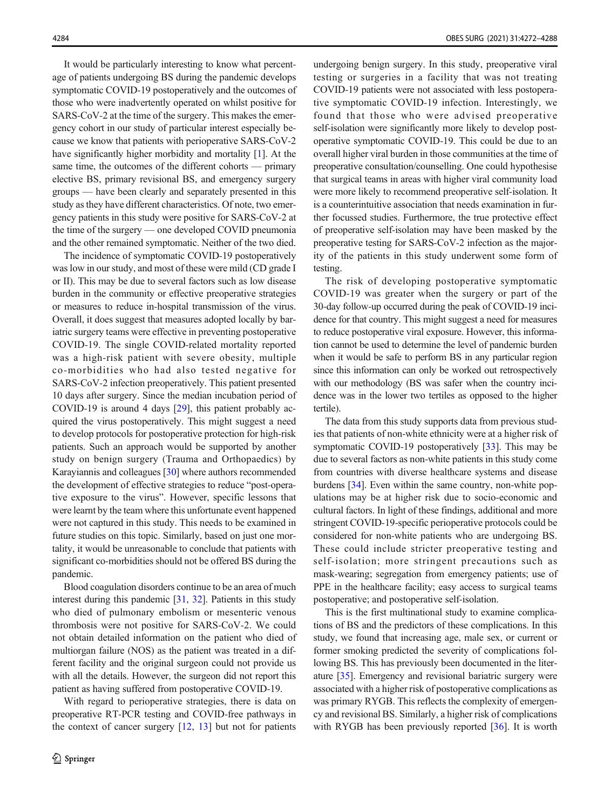It would be particularly interesting to know what percentage of patients undergoing BS during the pandemic develops symptomatic COVID-19 postoperatively and the outcomes of those who were inadvertently operated on whilst positive for SARS-CoV-2 at the time of the surgery. This makes the emergency cohort in our study of particular interest especially because we know that patients with perioperative SARS-CoV-2 have significantly higher morbidity and mortality [\[1\]](#page-15-0). At the same time, the outcomes of the different cohorts — primary elective BS, primary revisional BS, and emergency surgery groups — have been clearly and separately presented in this study as they have different characteristics. Of note, two emergency patients in this study were positive for SARS-CoV-2 at the time of the surgery — one developed COVID pneumonia and the other remained symptomatic. Neither of the two died.

The incidence of symptomatic COVID-19 postoperatively was low in our study, and most of these were mild (CD grade I or II). This may be due to several factors such as low disease burden in the community or effective preoperative strategies or measures to reduce in-hospital transmission of the virus. Overall, it does suggest that measures adopted locally by bariatric surgery teams were effective in preventing postoperative COVID-19. The single COVID-related mortality reported was a high-risk patient with severe obesity, multiple co-morbidities who had also tested negative for SARS-CoV-2 infection preoperatively. This patient presented 10 days after surgery. Since the median incubation period of COVID-19 is around 4 days [[29](#page-15-0)], this patient probably acquired the virus postoperatively. This might suggest a need to develop protocols for postoperative protection for high-risk patients. Such an approach would be supported by another study on benign surgery (Trauma and Orthopaedics) by Karayiannis and colleagues [\[30](#page-15-0)] where authors recommended the development of effective strategies to reduce "post-operative exposure to the virus". However, specific lessons that were learnt by the team where this unfortunate event happened were not captured in this study. This needs to be examined in future studies on this topic. Similarly, based on just one mortality, it would be unreasonable to conclude that patients with significant co-morbidities should not be offered BS during the pandemic.

Blood coagulation disorders continue to be an area of much interest during this pandemic [\[31](#page-15-0), [32\]](#page-15-0). Patients in this study who died of pulmonary embolism or mesenteric venous thrombosis were not positive for SARS-CoV-2. We could not obtain detailed information on the patient who died of multiorgan failure (NOS) as the patient was treated in a different facility and the original surgeon could not provide us with all the details. However, the surgeon did not report this patient as having suffered from postoperative COVID-19.

With regard to perioperative strategies, there is data on preoperative RT-PCR testing and COVID-free pathways in the context of cancer surgery [\[12](#page-15-0), [13\]](#page-15-0) but not for patients undergoing benign surgery. In this study, preoperative viral testing or surgeries in a facility that was not treating COVID-19 patients were not associated with less postoperative symptomatic COVID-19 infection. Interestingly, we found that those who were advised preoperative self-isolation were significantly more likely to develop postoperative symptomatic COVID-19. This could be due to an overall higher viral burden in those communities at the time of preoperative consultation/counselling. One could hypothesise that surgical teams in areas with higher viral community load were more likely to recommend preoperative self-isolation. It is a counterintuitive association that needs examination in further focussed studies. Furthermore, the true protective effect of preoperative self-isolation may have been masked by the preoperative testing for SARS-CoV-2 infection as the majority of the patients in this study underwent some form of testing.

The risk of developing postoperative symptomatic COVID-19 was greater when the surgery or part of the 30-day follow-up occurred during the peak of COVID-19 incidence for that country. This might suggest a need for measures to reduce postoperative viral exposure. However, this information cannot be used to determine the level of pandemic burden when it would be safe to perform BS in any particular region since this information can only be worked out retrospectively with our methodology (BS was safer when the country incidence was in the lower two tertiles as opposed to the higher tertile).

The data from this study supports data from previous studies that patients of non-white ethnicity were at a higher risk of symptomatic COVID-19 postoperatively [\[33](#page-16-0)]. This may be due to several factors as non-white patients in this study come from countries with diverse healthcare systems and disease burdens [\[34\]](#page-16-0). Even within the same country, non-white populations may be at higher risk due to socio-economic and cultural factors. In light of these findings, additional and more stringent COVID-19-specific perioperative protocols could be considered for non-white patients who are undergoing BS. These could include stricter preoperative testing and self-isolation; more stringent precautions such as mask-wearing; segregation from emergency patients; use of PPE in the healthcare facility; easy access to surgical teams postoperative; and postoperative self-isolation.

This is the first multinational study to examine complications of BS and the predictors of these complications. In this study, we found that increasing age, male sex, or current or former smoking predicted the severity of complications following BS. This has previously been documented in the literature [\[35\]](#page-16-0). Emergency and revisional bariatric surgery were associated with a higher risk of postoperative complications as was primary RYGB. This reflects the complexity of emergency and revisional BS. Similarly, a higher risk of complications with RYGB has been previously reported [\[36](#page-16-0)]. It is worth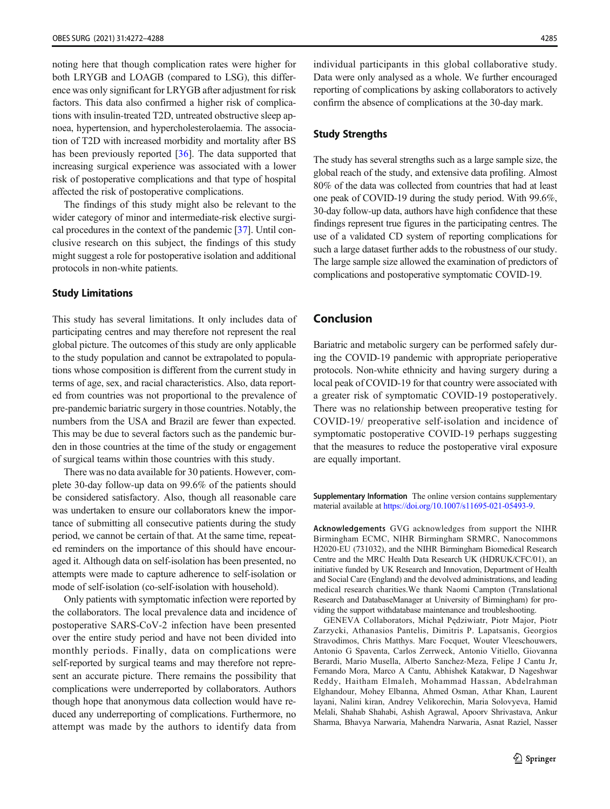noting here that though complication rates were higher for both LRYGB and LOAGB (compared to LSG), this difference was only significant for LRYGB after adjustment for risk factors. This data also confirmed a higher risk of complications with insulin-treated T2D, untreated obstructive sleep apnoea, hypertension, and hypercholesterolaemia. The association of T2D with increased morbidity and mortality after BS has been previously reported [\[36](#page-16-0)]. The data supported that increasing surgical experience was associated with a lower risk of postoperative complications and that type of hospital affected the risk of postoperative complications.

The findings of this study might also be relevant to the wider category of minor and intermediate-risk elective surgical procedures in the context of the pandemic [\[37\]](#page-16-0). Until conclusive research on this subject, the findings of this study might suggest a role for postoperative isolation and additional protocols in non-white patients.

## Study Limitations

This study has several limitations. It only includes data of participating centres and may therefore not represent the real global picture. The outcomes of this study are only applicable to the study population and cannot be extrapolated to populations whose composition is different from the current study in terms of age, sex, and racial characteristics. Also, data reported from countries was not proportional to the prevalence of pre-pandemic bariatric surgery in those countries. Notably, the numbers from the USA and Brazil are fewer than expected. This may be due to several factors such as the pandemic burden in those countries at the time of the study or engagement of surgical teams within those countries with this study.

There was no data available for 30 patients. However, complete 30-day follow-up data on 99.6% of the patients should be considered satisfactory. Also, though all reasonable care was undertaken to ensure our collaborators knew the importance of submitting all consecutive patients during the study period, we cannot be certain of that. At the same time, repeated reminders on the importance of this should have encouraged it. Although data on self-isolation has been presented, no attempts were made to capture adherence to self-isolation or mode of self-isolation (co-self-isolation with household).

Only patients with symptomatic infection were reported by the collaborators. The local prevalence data and incidence of postoperative SARS-CoV-2 infection have been presented over the entire study period and have not been divided into monthly periods. Finally, data on complications were self-reported by surgical teams and may therefore not represent an accurate picture. There remains the possibility that complications were underreported by collaborators. Authors though hope that anonymous data collection would have reduced any underreporting of complications. Furthermore, no attempt was made by the authors to identify data from

individual participants in this global collaborative study. Data were only analysed as a whole. We further encouraged reporting of complications by asking collaborators to actively confirm the absence of complications at the 30-day mark.

## Study Strengths

The study has several strengths such as a large sample size, the global reach of the study, and extensive data profiling. Almost 80% of the data was collected from countries that had at least one peak of COVID-19 during the study period. With 99.6%, 30-day follow-up data, authors have high confidence that these findings represent true figures in the participating centres. The use of a validated CD system of reporting complications for such a large dataset further adds to the robustness of our study. The large sample size allowed the examination of predictors of complications and postoperative symptomatic COVID-19.

# Conclusion

Bariatric and metabolic surgery can be performed safely during the COVID-19 pandemic with appropriate perioperative protocols. Non-white ethnicity and having surgery during a local peak of COVID-19 for that country were associated with a greater risk of symptomatic COVID-19 postoperatively. There was no relationship between preoperative testing for COVID-19/ preoperative self-isolation and incidence of symptomatic postoperative COVID-19 perhaps suggesting that the measures to reduce the postoperative viral exposure are equally important.

Supplementary Information The online version contains supplementary material available at [https://doi.org/10.1007/s11695-021-05493-9.](https://doi.org/10.1007/s11695-021-05493-9)

Acknowledgements GVG acknowledges from support the NIHR Birmingham ECMC, NIHR Birmingham SRMRC, Nanocommons H2020-EU (731032), and the NIHR Birmingham Biomedical Research Centre and the MRC Health Data Research UK (HDRUK/CFC/01), an initiative funded by UK Research and Innovation, Department of Health and Social Care (England) and the devolved administrations, and leading medical research charities.We thank Naomi Campton (Translational Research and DatabaseManager at University of Birmingham) for providing the support withdatabase maintenance and troubleshooting.

GENEVA Collaborators, Michał Pędziwiatr, Piotr Major, Piotr Zarzycki, Athanasios Pantelis, Dimitris P. Lapatsanis, Georgios Stravodimos, Chris Matthys. Marc Focquet, Wouter Vleeschouwers, Antonio G Spaventa, Carlos Zerrweck, Antonio Vitiello, Giovanna Berardi, Mario Musella, Alberto Sanchez-Meza, Felipe J Cantu Jr, Fernando Mora, Marco A Cantu, Abhishek Katakwar, D Nageshwar Reddy, Haitham Elmaleh, Mohammad Hassan, Abdelrahman Elghandour, Mohey Elbanna, Ahmed Osman, Athar Khan, Laurent layani, Nalini kiran, Andrey Velikorechin, Maria Solovyeva, Hamid Melali, Shahab Shahabi, Ashish Agrawal, Apoorv Shrivastava, Ankur Sharma, Bhavya Narwaria, Mahendra Narwaria, Asnat Raziel, Nasser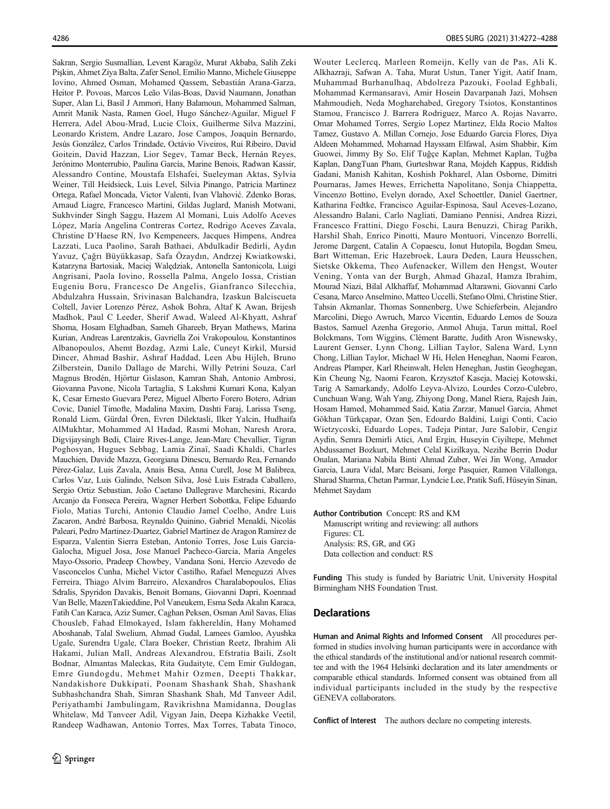Sakran, Sergio Susmallian, Levent Karagöz, Murat Akbaba, Salih Zeki Pişkin, Ahmet Ziya Balta, Zafer Senol, Emilio Manno, Michele Giuseppe Iovino, Ahmed Osman, Mohamed Qassem, Sebastián Arana-Garza, Heitor P. Povoas, Marcos Leão Vilas-Boas, David Naumann, Jonathan Super, Alan Li, Basil J Ammori, Hany Balamoun, Mohammed Salman, Amrit Manik Nasta, Ramen Goel, Hugo Sánchez-Aguilar, Miguel F Herrera, Adel Abou-Mrad, Lucie Cloix, Guilherme Silva Mazzini, Leonardo Kristem, Andre Lazaro, Jose Campos, Joaquín Bernardo, Jesús González, Carlos Trindade, Octávio Viveiros, Rui Ribeiro, David Goitein, David Hazzan, Lior Segev, Tamar Beck, Hernán Reyes, Jerónimo Monterrubio, Paulina García, Marine Benois, Radwan Kassir, Alessandro Contine, Moustafa Elshafei, Sueleyman Aktas, Sylvia Weiner, Till Heidsieck, Luis Level, Silvia Pinango, Patricia Martinez Ortega, Rafael Moncada, Victor Valenti, Ivan Vlahović. Zdenko Boras, Arnaud Liagre, Francesco Martini, Gildas Juglard, Manish Motwani, Sukhvinder Singh Saggu, Hazem Al Momani, Luis Adolfo Aceves López, María Angelina Contreras Cortez, Rodrigo Aceves Zavala, Christine D'Haese RN, Ivo Kempeneers, Jacques Himpens, Andrea Lazzati, Luca Paolino, Sarah Bathaei, Abdulkadir Bedirli, Aydın Yavuz, Çağrı Büyükkasap, Safa Özaydın, Andrzej Kwiatkowski, Katarzyna Bartosiak, Maciej Walędziak, Antonella Santonicola, Luigi Angrisani, Paola Iovino, Rossella Palma, Angelo Iossa, Cristian Eugeniu Boru, Francesco De Angelis, Gianfranco Silecchia, Abdulzahra Hussain, Srivinasan Balchandra, Izaskun Balciscueta Coltell, Javier Lorenzo Pérez, Ashok Bohra, Altaf K Awan, Brijesh Madhok, Paul C Leeder, Sherif Awad, Waleed Al-Khyatt, Ashraf Shoma, Hosam Elghadban, Sameh Ghareeb, Bryan Mathews, Marina Kurian, Andreas Larentzakis, Gavriella Zoi Vrakopoulou, Konstantinos Albanopoulos, Ahemt Bozdag, Azmi Lale, Cuneyt Kirkil, Mursid Dincer, Ahmad Bashir, Ashraf Haddad, Leen Abu Hijleh, Bruno Zilberstein, Danilo Dallago de Marchi, Willy Petrini Souza, Carl Magnus Brodén, Hjörtur Gislason, Kamran Shah, Antonio Ambrosi, Giovanna Pavone, Nicola Tartaglia, S Lakshmi Kumari Kona, Kalyan K, Cesar Ernesto Guevara Perez, Miguel Alberto Forero Botero, Adrian Covic, Daniel Timofte, Madalina Maxim, Dashti Faraj, Larissa Tseng, Ronald Liem, Gürdal Ören, Evren Dilektasli, Ilker Yalcin, Hudhaifa AlMukhtar, Mohammed Al Hadad, Rasmi Mohan, Naresh Arora, Digvijaysingh Bedi, Claire Rives-Lange, Jean-Marc Chevallier, Tigran Poghosyan, Hugues Sebbag, Lamia Zinaï, Saadi Khaldi, Charles Mauchien, Davide Mazza, Georgiana Dinescu, Bernardo Rea, Fernando Pérez-Galaz, Luis Zavala, Anais Besa, Anna Curell, Jose M Balibrea, Carlos Vaz, Luis Galindo, Nelson Silva, José Luis Estrada Caballero, Sergio Ortiz Sebastian, João Caetano Dallegrave Marchesini, Ricardo Arcanjo da Fonseca Pereira, Wagner Herbert Sobottka, Felipe Eduardo Fiolo, Matias Turchi, Antonio Claudio Jamel Coelho, Andre Luis Zacaron, André Barbosa, Reynaldo Quinino, Gabriel Menaldi, Nicolás Paleari, Pedro Martinez-Duartez, Gabriel Martínez de Aragon Ramírez de Esparza, Valentin Sierra Esteban, Antonio Torres, Jose Luis Garcia-Galocha, Miguel Josa, Jose Manuel Pacheco-Garcia, Maria Angeles Mayo-Ossorio, Pradeep Chowbey, Vandana Soni, Hercio Azevedo de Vasconcelos Cunha, Michel Victor Castilho, Rafael Meneguzzi Alves Ferreira, Thiago Alvim Barreiro, Alexandros Charalabopoulos, Elias Sdralis, Spyridon Davakis, Benoit Bomans, Giovanni Dapri, Koenraad Van Belle, MazenTakieddine, Pol Vaneukem, Esma Seda Akalın Karaca, Fatih Can Karaca, Aziz Sumer, Caghan Peksen, Osman Anil Savas, Elias Chousleb, Fahad Elmokayed, Islam fakhereldin, Hany Mohamed Aboshanab, Talal Swelium, Ahmad Gudal, Lamees Gamloo, Ayushka Ugale, Surendra Ugale, Clara Boeker, Christian Reetz, Ibrahim Ali Hakami, Julian Mall, Andreas Alexandrou, Efstratia Baili, Zsolt Bodnar, Almantas Maleckas, Rita Gudaityte, Cem Emir Guldogan, Emre Gundogdu, Mehmet Mahir Ozmen, Deepti Thakkar, Nandakishore Dukkipati, Poonam Shashank Shah, Shashank Subhashchandra Shah, Simran Shashank Shah, Md Tanveer Adil, Periyathambi Jambulingam, Ravikrishna Mamidanna, Douglas Whitelaw, Md Tanveer Adil, Vigyan Jain, Deepa Kizhakke Veetil, Randeep Wadhawan, Antonio Torres, Max Torres, Tabata Tinoco,

Wouter Leclercq, Marleen Romeijn, Kelly van de Pas, Ali K. Alkhazraji, Safwan A. Taha, Murat Ustun, Taner Yigit, Aatif Inam, Muhammad Burhanulhaq, Abdolreza Pazouki, Foolad Eghbali, Mohammad Kermansaravi, Amir Hosein Davarpanah Jazi, Mohsen Mahmoudieh, Neda Mogharehabed, Gregory Tsiotos, Konstantinos Stamou, Francisco J. Barrera Rodriguez, Marco A. Rojas Navarro, Omar Mohamed Torres, Sergio Lopez Martinez, Elda Rocio Maltos Tamez, Gustavo A. Millan Cornejo, Jose Eduardo Garcia Flores, Diya Aldeen Mohammed, Mohamad Hayssam Elfawal, Asim Shabbir, Kim Guowei, Jimmy By So, Elif Tuğçe Kaplan, Mehmet Kaplan, Tuğba Kaplan, DangTuan Pham, Gurteshwar Rana, Mojdeh Kappus, Riddish Gadani, Manish Kahitan, Koshish Pokharel, Alan Osborne, Dimitri Pournaras, James Hewes, Errichetta Napolitano, Sonja Chiappetta, Vincenzo Bottino, Evelyn dorado, Axel Schoettler, Daniel Gaertner, Katharina Fedtke, Francisco Aguilar-Espinosa, Saul Aceves-Lozano, Alessandro Balani, Carlo Nagliati, Damiano Pennisi, Andrea Rizzi, Francesco Frattini, Diego Foschi, Laura Benuzzi, Chirag Parikh, Harshil Shah, Enrico Pinotti, Mauro Montuori, Vincenzo Borrelli, Jerome Dargent, Catalin A Copaescu, Ionut Hutopila, Bogdan Smeu, Bart Witteman, Eric Hazebroek, Laura Deden, Laura Heusschen, Sietske Okkema, Theo Aufenacker, Willem den Hengst, Wouter Vening, Yonta van der Burgh, Ahmad Ghazal, Hamza Ibrahim, Mourad Niazi, Bilal Alkhaffaf, Mohammad Altarawni, Giovanni Carlo Cesana, Marco Anselmino, Matteo Uccelli, Stefano Olmi, Christine Stier, Tahsin Akmanlar, Thomas Sonnenberg, Uwe Schieferbein, Alejandro Marcolini, Diego Awruch, Marco Vicentin, Eduardo Lemos de Souza Bastos, Samuel Azenha Gregorio, Anmol Ahuja, Tarun mittal, Roel Bolckmans, Tom Wiggins, Clément Baratte, Judith Aron Wisnewsky, Laurent Genser, Lynn Chong, Lillian Taylor, Salena Ward, Lynn Chong, Lillian Taylor, Michael W Hi, Helen Heneghan, Naomi Fearon, Andreas Plamper, Karl Rheinwalt, Helen Heneghan, Justin Geoghegan, Kin Cheung Ng, Naomi Fearon, Krzysztof Kaseja, Maciej Kotowski, Tarig A Samarkandy, Adolfo Leyva-Alvizo, Lourdes Corzo-Culebro, Cunchuan Wang, Wah Yang, Zhiyong Dong, Manel Riera, Rajesh Jain, Hosam Hamed, Mohammed Said, Katia Zarzar, Manuel Garcia, Ahmet Gökhan Türkçapar, Ozan Şen, Edoardo Baldini, Luigi Conti, Cacio Wietzycoski, Eduardo Lopes, Tadeja Pintar, Jure Salobir, Cengiz Aydin, Semra Demirli Atici, Anıl Ergin, Huseyin Ciyiltepe, Mehmet Abdussamet Bozkurt, Mehmet Celal Kizilkaya, Nezihe Berrin Dodur Onalan, Mariana Nabila Binti Ahmad Zuber, Wei Jin Wong, Amador Garcia, Laura Vidal, Marc Beisani, Jorge Pasquier, Ramon Vilallonga, Sharad Sharma, Chetan Parmar, Lyndcie Lee, Pratik Sufi, Hüseyin Sinan, Mehmet Saydam

Author Contribution Concept: RS and KM

Manuscript writing and reviewing: all authors Figures: CL Analysis: RS, GR, and GG Data collection and conduct: RS

Funding This study is funded by Bariatric Unit, University Hospital Birmingham NHS Foundation Trust.

## **Declarations**

Human and Animal Rights and Informed Consent All procedures performed in studies involving human participants were in accordance with the ethical standards of the institutional and/or national research committee and with the 1964 Helsinki declaration and its later amendments or comparable ethical standards. Informed consent was obtained from all individual participants included in the study by the respective GENEVA collaborators.

Conflict of Interest The authors declare no competing interests.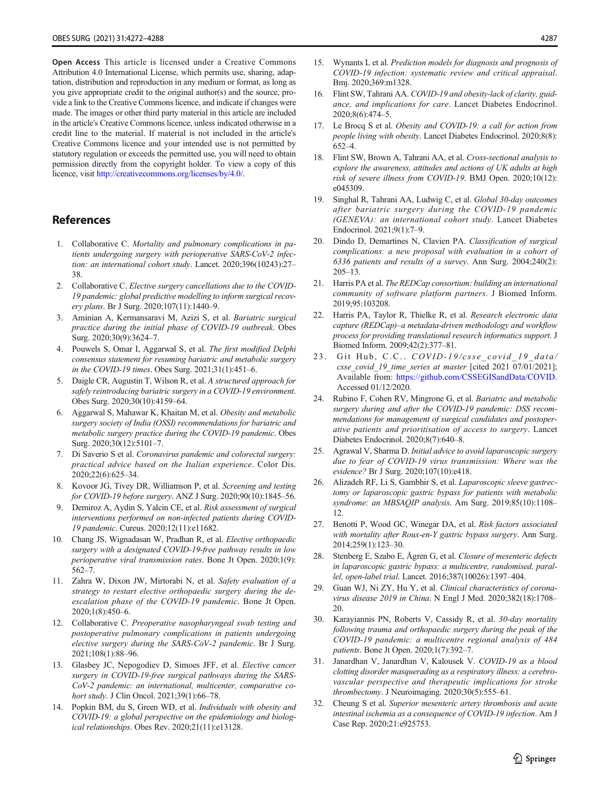<span id="page-15-0"></span>Open Access This article is licensed under a Creative Commons Attribution 4.0 International License, which permits use, sharing, adaptation, distribution and reproduction in any medium or format, as long as you give appropriate credit to the original author(s) and the source, provide a link to the Creative Commons licence, and indicate if changes were made. The images or other third party material in this article are included in the article's Creative Commons licence, unless indicated otherwise in a credit line to the material. If material is not included in the article's Creative Commons licence and your intended use is not permitted by statutory regulation or exceeds the permitted use, you will need to obtain permission directly from the copyright holder. To view a copy of this licence, visit <http://creativecommons.org/licenses/by/4.0/>.

# References

- 1. Collaborative C. Mortality and pulmonary complications in patients undergoing surgery with perioperative SARS-CoV-2 infection: an international cohort study. Lancet. 2020;396(10243):27– 38.
- 2. Collaborative C. Elective surgery cancellations due to the COVID-19 pandemic: global predictive modelling to inform surgical recovery plans. Br J Surg. 2020;107(11):1440–9.
- 3. Aminian A, Kermansaravi M, Azizi S, et al. Bariatric surgical practice during the initial phase of COVID-19 outbreak. Obes Surg. 2020;30(9):3624–7.
- 4. Pouwels S, Omar I, Aggarwal S, et al. The first modified Delphi consensus statement for resuming bariatric and metabolic surgery in the COVID-19 times. Obes Surg. 2021;31(1):451–6.
- 5. Daigle CR, Augustin T, Wilson R, et al. A structured approach for safely reintroducing bariatric surgery in a COVID-19 environment. Obes Surg. 2020;30(10):4159–64.
- 6. Aggarwal S, Mahawar K, Khaitan M, et al. Obesity and metabolic surgery society of India (OSSI) recommendations for bariatric and metabolic surgery practice during the COVID-19 pandemic. Obes Surg. 2020;30(12):5101–7.
- 7. Di Saverio S et al. Coronavirus pandemic and colorectal surgery: practical advice based on the Italian experience. Color Dis. 2020;22(6):625–34.
- 8. Kovoor JG, Tivey DR, Williamson P, et al. Screening and testing for COVID-19 before surgery. ANZ J Surg. 2020;90(10):1845–56.
- 9. Demiroz A, Aydin S, Yalcin CE, et al. Risk assessment of surgical interventions performed on non-infected patients during COVID-19 pandemic. Cureus. 2020;12(11):e11682.
- 10. Chang JS, Wignadasan W, Pradhan R, et al. Elective orthopaedic surgery with a designated COVID-19-free pathway results in low perioperative viral transmission rates. Bone Jt Open. 2020;1(9): 562–7.
- 11. Zahra W, Dixon JW, Mirtorabi N, et al. Safety evaluation of a strategy to restart elective orthopaedic surgery during the deescalation phase of the COVID-19 pandemic. Bone Jt Open. 2020;1(8):450–6.
- 12. Collaborative C. Preoperative nasopharyngeal swab testing and postoperative pulmonary complications in patients undergoing elective surgery during the SARS-CoV-2 pandemic. Br J Surg. 2021;108(1):88–96.
- 13. Glasbey JC, Nepogodiev D, Simoes JFF, et al. Elective cancer surgery in COVID-19-free surgical pathways during the SARS-CoV-2 pandemic: an international, multicenter, comparative cohort study. J Clin Oncol. 2021;39(1):66–78.
- 14. Popkin BM, du S, Green WD, et al. Individuals with obesity and COVID-19: a global perspective on the epidemiology and biological relationships. Obes Rev. 2020;21(11):e13128.
- 15. Wynants L et al. Prediction models for diagnosis and prognosis of COVID-19 infection: systematic review and critical appraisal. Bmj. 2020;369:m1328.
- 16. Flint SW, Tahrani AA. COVID-19 and obesity-lack of clarity, guidance, and implications for care. Lancet Diabetes Endocrinol. 2020;8(6):474–5.
- 17. Le Brocq S et al. Obesity and COVID-19: a call for action from people living with obesity. Lancet Diabetes Endocrinol. 2020;8(8): 652–4.
- 18. Flint SW, Brown A, Tahrani AA, et al. Cross-sectional analysis to explore the awareness, attitudes and actions of UK adults at high risk of severe illness from COVID-19. BMJ Open. 2020;10(12): e045309.
- 19. Singhal R, Tahrani AA, Ludwig C, et al. Global 30-day outcomes after bariatric surgery during the COVID-19 pandemic (GENEVA): an international cohort study. Lancet Diabetes Endocrinol. 2021;9(1):7–9.
- 20. Dindo D, Demartines N, Clavien PA. Classification of surgical complications: a new proposal with evaluation in a cohort of 6336 patients and results of a survey. Ann Surg. 2004;240(2): 205–13.
- 21. Harris PA et al. The REDCap consortium: building an international community of software platform partners. J Biomed Inform. 2019;95:103208.
- 22. Harris PA, Taylor R, Thielke R, et al. Research electronic data capture (REDCap)–a metadata-driven methodology and workflow process for providing translational research informatics support. J Biomed Inform. 2009;42(2):377–81.
- 23. Git Hub, C.C.. COVID-19/csse\_covid\_19\_data/ csse\_covid\_19\_time\_series at master [cited 2021 07/01/2021]; Available from: <https://github.com/CSSEGISandData/COVID>. Accessed 01/12/2020.
- 24. Rubino F, Cohen RV, Mingrone G, et al. Bariatric and metabolic surgery during and after the COVID-19 pandemic: DSS recommendations for management of surgical candidates and postoperative patients and prioritisation of access to surgery. Lancet Diabetes Endocrinol. 2020;8(7):640–8.
- 25. Agrawal V, Sharma D. Initial advice to avoid laparoscopic surgery due to fear of COVID-19 virus transmission: Where was the evidence? Br J Surg. 2020;107(10):e418.
- 26. Alizadeh RF, Li S, Gambhir S, et al. Laparoscopic sleeve gastrectomy or laparoscopic gastric bypass for patients with metabolic syndrome: an MBSAQIP analysis. Am Surg. 2019;85(10):1108-12.
- 27. Benotti P, Wood GC, Winegar DA, et al. Risk factors associated with mortality after Roux-en-Y gastric bypass surgery. Ann Surg. 2014;259(1):123–30.
- 28. Stenberg E, Szabo E, Ågren G, et al. Closure of mesenteric defects in laparoscopic gastric bypass: a multicentre, randomised, parallel, open-label trial. Lancet. 2016;387(10026):1397–404.
- 29. Guan WJ, Ni ZY, Hu Y, et al. Clinical characteristics of coronavirus disease 2019 in China. N Engl J Med. 2020;382(18):1708– 20.
- 30. Karayiannis PN, Roberts V, Cassidy R, et al. 30-day mortality following trauma and orthopaedic surgery during the peak of the COVID-19 pandemic: a multicentre regional analysis of 484 patients. Bone Jt Open. 2020;1(7):392–7.
- 31. Janardhan V, Janardhan V, Kalousek V. COVID-19 as a blood clotting disorder masquerading as a respiratory illness: a cerebrovascular perspective and therapeutic implications for stroke thrombectomy. J Neuroimaging. 2020;30(5):555-61.
- 32. Cheung S et al. Superior mesenteric artery thrombosis and acute intestinal ischemia as a consequence of COVID-19 infection. Am J Case Rep. 2020;21:e925753.